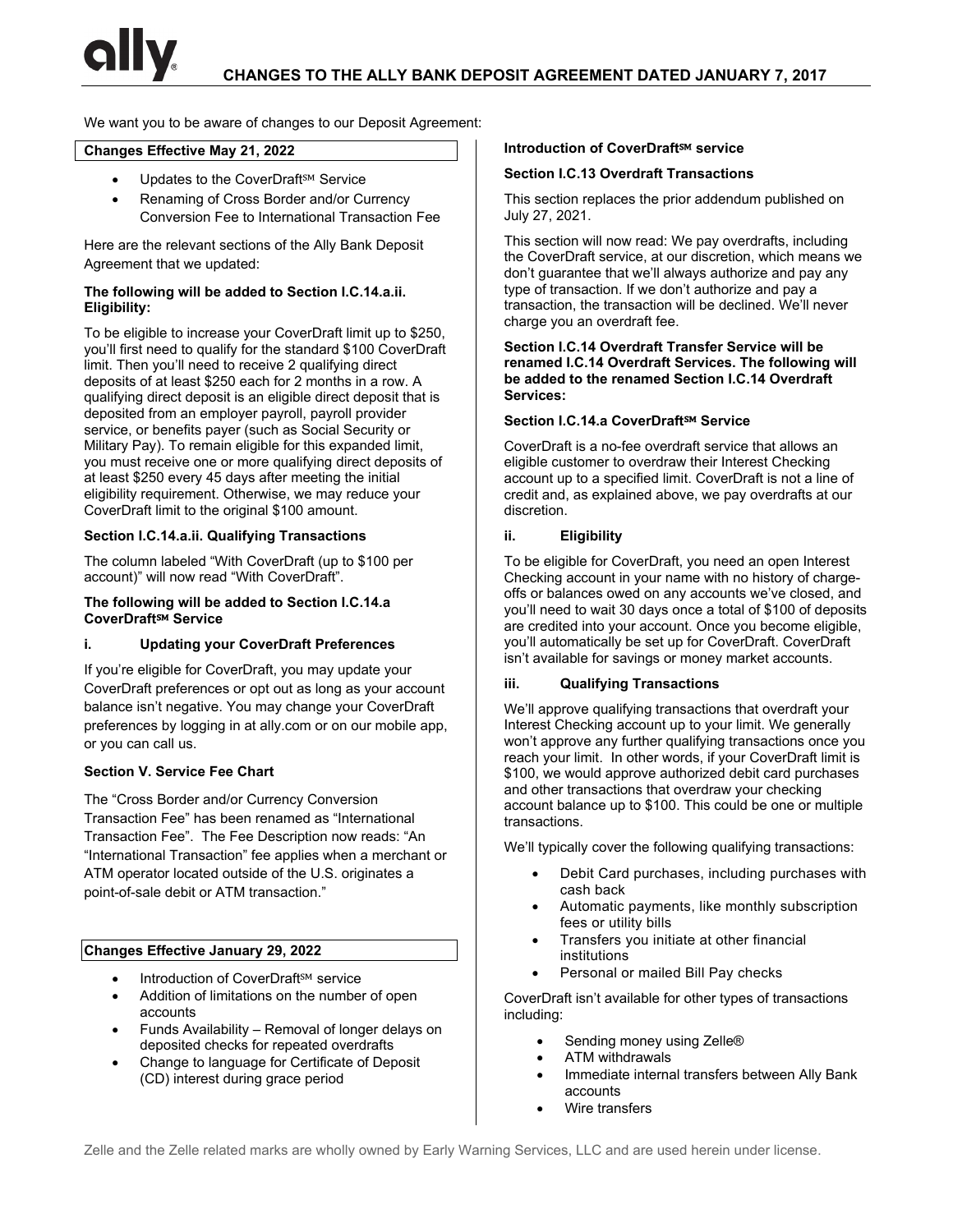We want you to be aware of changes to our Deposit Agreement:

# **Changes Effective May 21, 2022**

- Updates to the CoverDraft<sup>sM</sup> Service
- Renaming of Cross Border and/or Currency Conversion Fee to International Transaction Fee

Here are the relevant sections of the Ally Bank Deposit Agreement that we updated:

#### **The following will be added to Section I.C.14.a.ii. Eligibility:**

To be eligible to increase your CoverDraft limit up to \$250, you'll first need to qualify for the standard \$100 CoverDraft limit. Then you'll need to receive 2 qualifying direct deposits of at least \$250 each for 2 months in a row. A qualifying direct deposit is an eligible direct deposit that is deposited from an employer payroll, payroll provider service, or benefits payer (such as Social Security or Military Pay). To remain eligible for this expanded limit, you must receive one or more qualifying direct deposits of at least \$250 every 45 days after meeting the initial eligibility requirement. Otherwise, we may reduce your CoverDraft limit to the original \$100 amount.

## **Section I.C.14.a.ii. Qualifying Transactions**

The column labeled "With CoverDraft (up to \$100 per account)" will now read "With CoverDraft".

#### **The following will be added to Section I.C.14.a CoverDraft**℠ **Service**

#### **i. Updating your CoverDraft Preferences**

If you're eligible for CoverDraft, you may update your CoverDraft preferences or opt out as long as your account balance isn't negative. You may change your CoverDraft preferences by logging in at ally.com or on our mobile app, or you can call us.

#### **Section V. Service Fee Chart**

The "Cross Border and/or Currency Conversion Transaction Fee" has been renamed as "International Transaction Fee". The Fee Description now reads: "An "International Transaction" fee applies when a merchant or ATM operator located outside of the U.S. originates a point-of-sale debit or ATM transaction."

# **Changes Effective January 29, 2022**

- Introduction of CoverDraft<sup>SM</sup> service
- Addition of limitations on the number of open accounts
- Funds Availability Removal of longer delays on deposited checks for repeated overdrafts
- Change to language for Certificate of Deposit (CD) interest during grace period

#### **Introduction of CoverDraft<sup>SM</sup> service**

#### **Section I.C.13 Overdraft Transactions**

This section replaces the prior addendum published on July 27, 2021.

This section will now read: We pay overdrafts, including the CoverDraft service, at our discretion, which means we don't guarantee that we'll always authorize and pay any type of transaction. If we don't authorize and pay a transaction, the transaction will be declined. We'll never charge you an overdraft fee.

#### **Section I.C.14 Overdraft Transfer Service will be renamed I.C.14 Overdraft Services. The following will be added to the renamed Section I.C.14 Overdraft Services:**

#### **Section I.C.14.a CoverDraft**℠ **Service**

CoverDraft is a no-fee overdraft service that allows an eligible customer to overdraw their Interest Checking account up to a specified limit. CoverDraft is not a line of credit and, as explained above, we pay overdrafts at our discretion.

#### **ii. Eligibility**

To be eligible for CoverDraft, you need an open Interest Checking account in your name with no history of chargeoffs or balances owed on any accounts we've closed, and you'll need to wait 30 days once a total of \$100 of deposits are credited into your account. Once you become eligible, you'll automatically be set up for CoverDraft. CoverDraft isn't available for savings or money market accounts.

#### **iii. Qualifying Transactions**

We'll approve qualifying transactions that overdraft your Interest Checking account up to your limit. We generally won't approve any further qualifying transactions once you reach your limit. In other words, if your CoverDraft limit is \$100, we would approve authorized debit card purchases and other transactions that overdraw your checking account balance up to \$100. This could be one or multiple transactions.

We'll typically cover the following qualifying transactions:

- Debit Card purchases, including purchases with cash back
- Automatic payments, like monthly subscription fees or utility bills
- Transfers you initiate at other financial institutions
- Personal or mailed Bill Pay checks

CoverDraft isn't available for other types of transactions including:

- Sending money using Zelle®
- ATM withdrawals
- Immediate internal transfers between Ally Bank accounts
- Wire transfers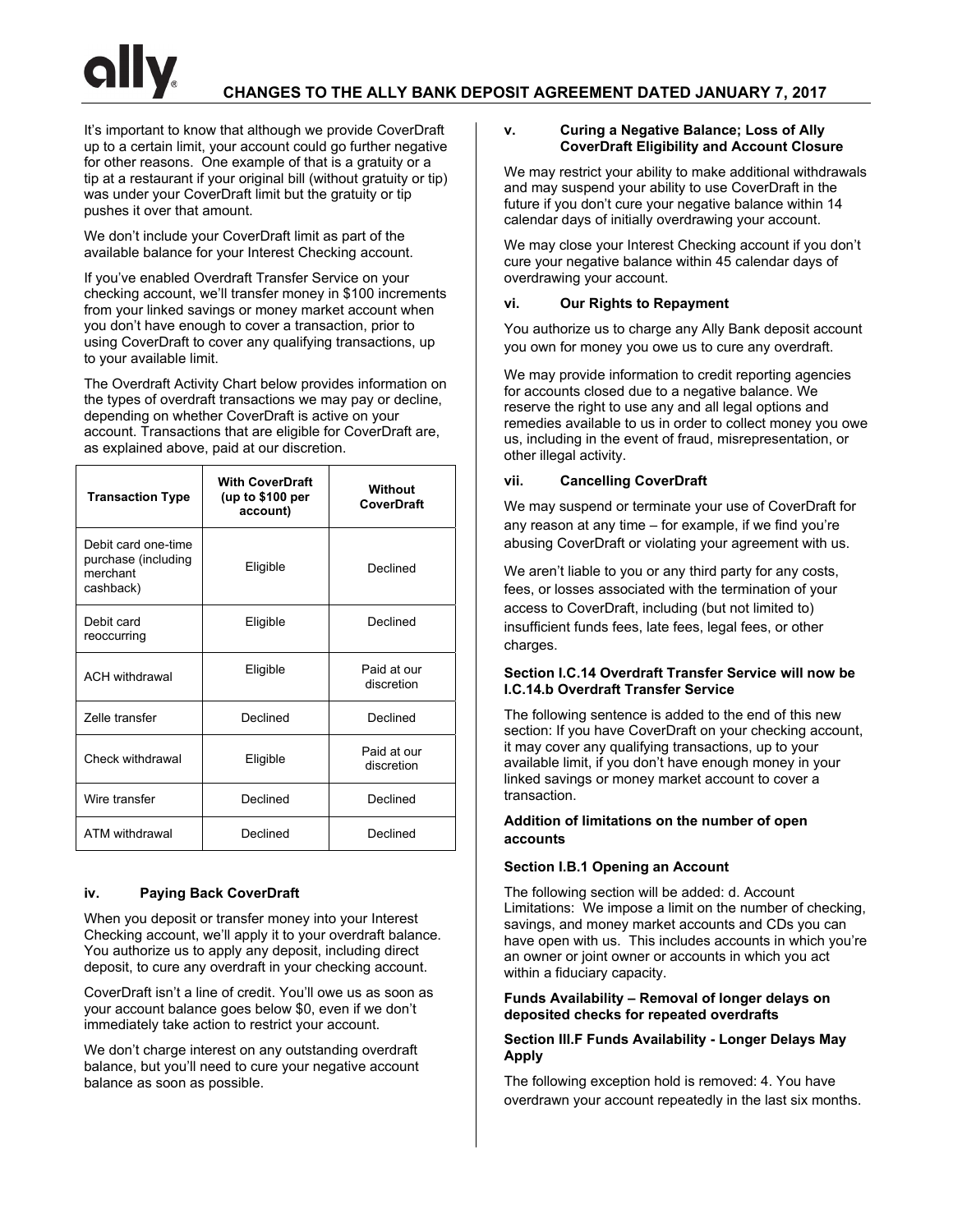It's important to know that although we provide CoverDraft up to a certain limit, your account could go further negative for other reasons. One example of that is a gratuity or a tip at a restaurant if your original bill (without gratuity or tip) was under your CoverDraft limit but the gratuity or tip pushes it over that amount.

We don't include your CoverDraft limit as part of the available balance for your Interest Checking account.

If you've enabled Overdraft Transfer Service on your checking account, we'll transfer money in \$100 increments from your linked savings or money market account when you don't have enough to cover a transaction, prior to using CoverDraft to cover any qualifying transactions, up to your available limit.

The Overdraft Activity Chart below provides information on the types of overdraft transactions we may pay or decline, depending on whether CoverDraft is active on your account. Transactions that are eligible for CoverDraft are, as explained above, paid at our discretion.

| <b>Transaction Type</b>                                             | <b>With CoverDraft</b><br>(up to \$100 per<br>account) | Without<br>CoverDraft     |  |
|---------------------------------------------------------------------|--------------------------------------------------------|---------------------------|--|
| Debit card one-time<br>purchase (including<br>merchant<br>cashback) | Eligible                                               | Declined                  |  |
| Debit card<br>reoccurring                                           | Eligible                                               | Declined                  |  |
| <b>ACH</b> withdrawal                                               | Eligible                                               | Paid at our<br>discretion |  |
| <b>Zelle transfer</b>                                               | Declined                                               | Declined                  |  |
| Check withdrawal                                                    | Eligible                                               | Paid at our<br>discretion |  |
| Wire transfer                                                       | Declined                                               | Declined                  |  |
| ATM withdrawal                                                      | Declined                                               | Declined                  |  |

# **iv. Paying Back CoverDraft**

When you deposit or transfer money into your Interest Checking account, we'll apply it to your overdraft balance. You authorize us to apply any deposit, including direct deposit, to cure any overdraft in your checking account.

CoverDraft isn't a line of credit. You'll owe us as soon as your account balance goes below \$0, even if we don't immediately take action to restrict your account.

We don't charge interest on any outstanding overdraft balance, but you'll need to cure your negative account balance as soon as possible.

# **v. Curing a Negative Balance; Loss of Ally CoverDraft Eligibility and Account Closure**

We may restrict your ability to make additional withdrawals and may suspend your ability to use CoverDraft in the future if you don't cure your negative balance within 14 calendar days of initially overdrawing your account.

We may close your Interest Checking account if you don't cure your negative balance within 45 calendar days of overdrawing your account.

# **vi. Our Rights to Repayment**

You authorize us to charge any Ally Bank deposit account you own for money you owe us to cure any overdraft.

We may provide information to credit reporting agencies for accounts closed due to a negative balance. We reserve the right to use any and all legal options and remedies available to us in order to collect money you owe us, including in the event of fraud, misrepresentation, or other illegal activity.

# **vii. Cancelling CoverDraft**

We may suspend or terminate your use of CoverDraft for any reason at any time – for example, if we find you're abusing CoverDraft or violating your agreement with us.

We aren't liable to you or any third party for any costs, fees, or losses associated with the termination of your access to CoverDraft, including (but not limited to) insufficient funds fees, late fees, legal fees, or other charges.

## **Section I.C.14 Overdraft Transfer Service will now be I.C.14.b Overdraft Transfer Service**

The following sentence is added to the end of this new section: If you have CoverDraft on your checking account, it may cover any qualifying transactions, up to your available limit, if you don't have enough money in your linked savings or money market account to cover a transaction.

## **Addition of limitations on the number of open accounts**

# **Section I.B.1 Opening an Account**

The following section will be added: d. Account Limitations: We impose a limit on the number of checking, savings, and money market accounts and CDs you can have open with us. This includes accounts in which you're an owner or joint owner or accounts in which you act within a fiduciary capacity.

## **Funds Availability – Removal of longer delays on deposited checks for repeated overdrafts**

## **Section III.F Funds Availability - Longer Delays May Apply**

The following exception hold is removed: 4. You have overdrawn your account repeatedly in the last six months.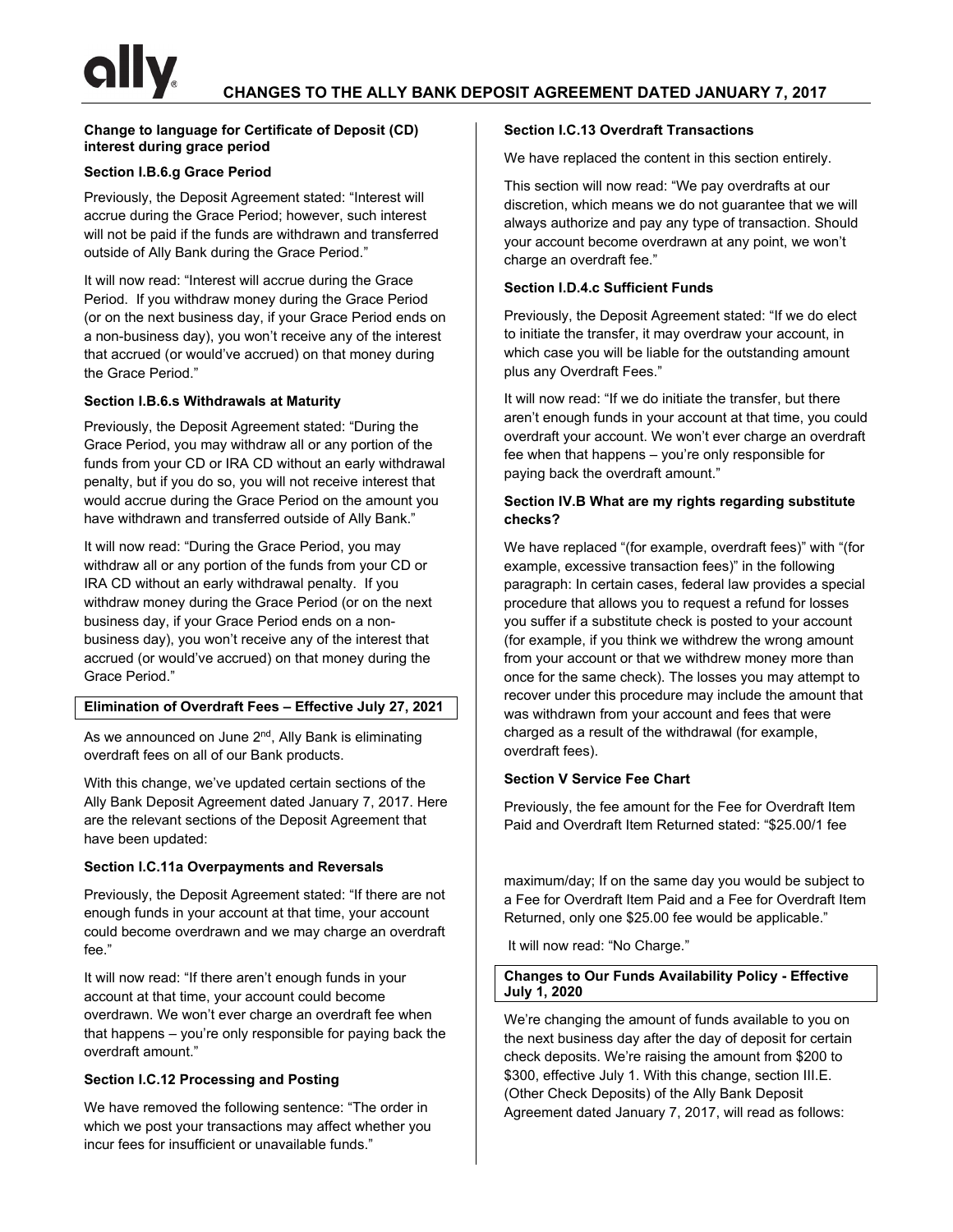## **Change to language for Certificate of Deposit (CD) interest during grace period**

# **Section I.B.6.g Grace Period**

Previously, the Deposit Agreement stated: "Interest will accrue during the Grace Period; however, such interest will not be paid if the funds are withdrawn and transferred outside of Ally Bank during the Grace Period."

It will now read: "Interest will accrue during the Grace Period. If you withdraw money during the Grace Period (or on the next business day, if your Grace Period ends on a non-business day), you won't receive any of the interest that accrued (or would've accrued) on that money during the Grace Period."

# **Section I.B.6.s Withdrawals at Maturity**

Previously, the Deposit Agreement stated: "During the Grace Period, you may withdraw all or any portion of the funds from your CD or IRA CD without an early withdrawal penalty, but if you do so, you will not receive interest that would accrue during the Grace Period on the amount you have withdrawn and transferred outside of Ally Bank."

It will now read: "During the Grace Period, you may withdraw all or any portion of the funds from your CD or IRA CD without an early withdrawal penalty. If you withdraw money during the Grace Period (or on the next business day, if your Grace Period ends on a nonbusiness day), you won't receive any of the interest that accrued (or would've accrued) on that money during the Grace Period."

# **Elimination of Overdraft Fees – Effective July 27, 2021**

As we announced on June 2<sup>nd</sup>, Ally Bank is eliminating overdraft fees on all of our Bank products.

With this change, we've updated certain sections of the Ally Bank Deposit Agreement dated January 7, 2017. Here are the relevant sections of the Deposit Agreement that have been updated:

# **Section I.C.11a Overpayments and Reversals**

Previously, the Deposit Agreement stated: "If there are not enough funds in your account at that time, your account could become overdrawn and we may charge an overdraft fee."

It will now read: "If there aren't enough funds in your account at that time, your account could become overdrawn. We won't ever charge an overdraft fee when that happens – you're only responsible for paying back the overdraft amount."

# **Section I.C.12 Processing and Posting**

We have removed the following sentence: "The order in which we post your transactions may affect whether you incur fees for insufficient or unavailable funds."

## **Section I.C.13 Overdraft Transactions**

We have replaced the content in this section entirely.

This section will now read: "We pay overdrafts at our discretion, which means we do not guarantee that we will always authorize and pay any type of transaction. Should your account become overdrawn at any point, we won't charge an overdraft fee."

## **Section I.D.4.c Sufficient Funds**

Previously, the Deposit Agreement stated: "If we do elect to initiate the transfer, it may overdraw your account, in which case you will be liable for the outstanding amount plus any Overdraft Fees."

It will now read: "If we do initiate the transfer, but there aren't enough funds in your account at that time, you could overdraft your account. We won't ever charge an overdraft fee when that happens – you're only responsible for paying back the overdraft amount."

# **Section IV.B What are my rights regarding substitute checks?**

We have replaced "(for example, overdraft fees)" with "(for example, excessive transaction fees)" in the following paragraph: In certain cases, federal law provides a special procedure that allows you to request a refund for losses you suffer if a substitute check is posted to your account (for example, if you think we withdrew the wrong amount from your account or that we withdrew money more than once for the same check). The losses you may attempt to recover under this procedure may include the amount that was withdrawn from your account and fees that were charged as a result of the withdrawal (for example, overdraft fees).

# **Section V Service Fee Chart**

Previously, the fee amount for the Fee for Overdraft Item Paid and Overdraft Item Returned stated: "\$25.00/1 fee

maximum/day; If on the same day you would be subject to a Fee for Overdraft Item Paid and a Fee for Overdraft Item Returned, only one \$25.00 fee would be applicable."

It will now read: "No Charge."

#### **Changes to Our Funds Availability Policy - Effective July 1, 2020**

We're changing the amount of funds available to you on the next business day after the day of deposit for certain check deposits. We're raising the amount from \$200 to \$300, effective July 1. With this change, section III.E. (Other Check Deposits) of the Ally Bank Deposit Agreement dated January 7, 2017, will read as follows: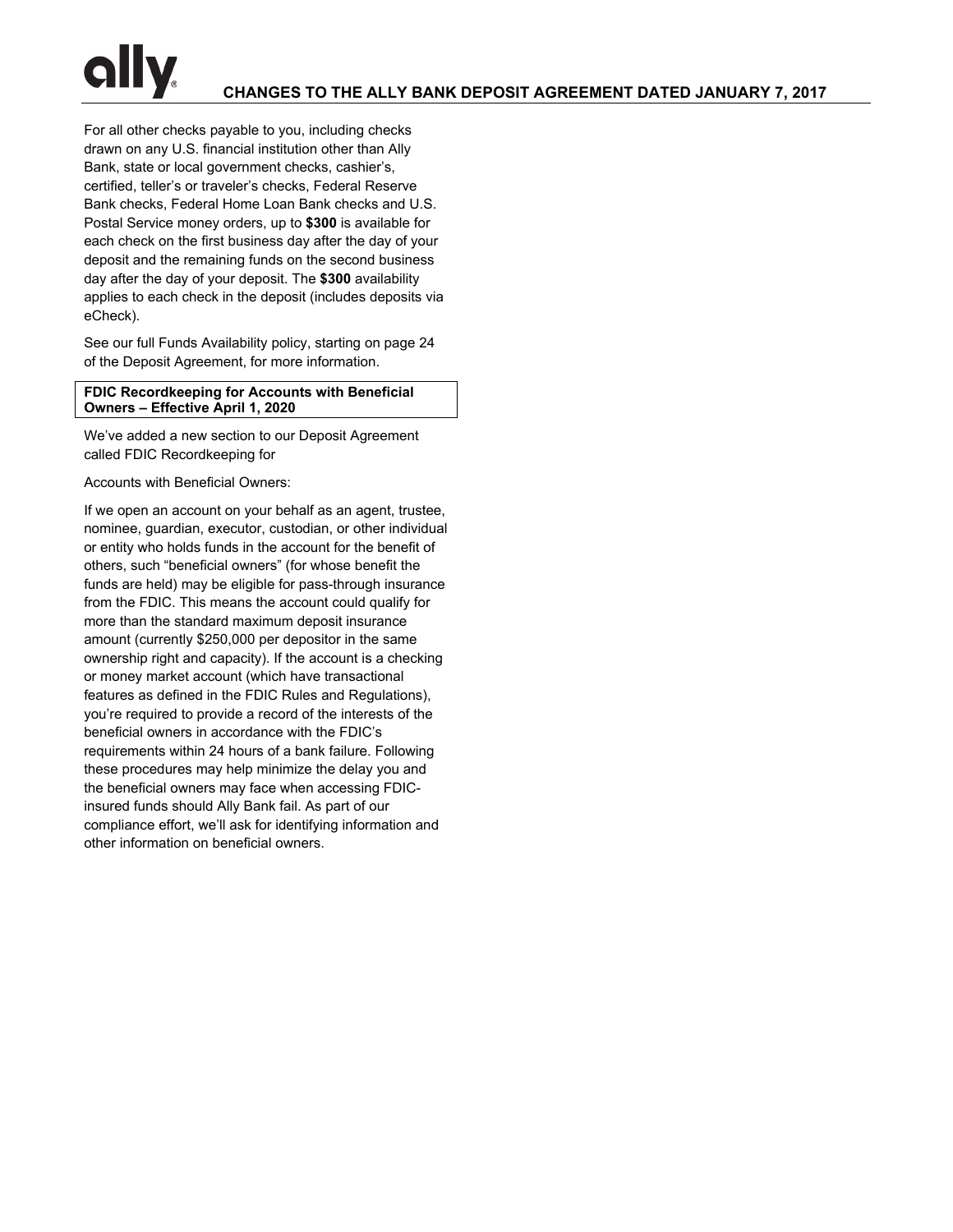For all other checks payable to you, including checks drawn on any U.S. financial institution other than Ally Bank, state or local government checks, cashier's, certified, teller's or traveler's checks, Federal Reserve Bank checks, Federal Home Loan Bank checks and U.S. Postal Service money orders, up to **\$300** is available for each check on the first business day after the day of your deposit and the remaining funds on the second business day after the day of your deposit. The **\$300** availability applies to each check in the deposit (includes deposits via eCheck).

See our full Funds Availability policy, starting on page 24 of the Deposit Agreement, for more information.

## **FDIC Recordkeeping for Accounts with Beneficial Owners – Effective April 1, 2020**

We've added a new section to our Deposit Agreement called FDIC Recordkeeping for

Accounts with Beneficial Owners:

If we open an account on your behalf as an agent, trustee, nominee, guardian, executor, custodian, or other individual or entity who holds funds in the account for the benefit of others, such "beneficial owners" (for whose benefit the funds are held) may be eligible for pass-through insurance from the FDIC. This means the account could qualify for more than the standard maximum deposit insurance amount (currently \$250,000 per depositor in the same ownership right and capacity). If the account is a checking or money market account (which have transactional features as defined in the FDIC Rules and Regulations), you're required to provide a record of the interests of the beneficial owners in accordance with the FDIC's requirements within 24 hours of a bank failure. Following these procedures may help minimize the delay you and the beneficial owners may face when accessing FDICinsured funds should Ally Bank fail. As part of our compliance effort, we'll ask for identifying information and other information on beneficial owners.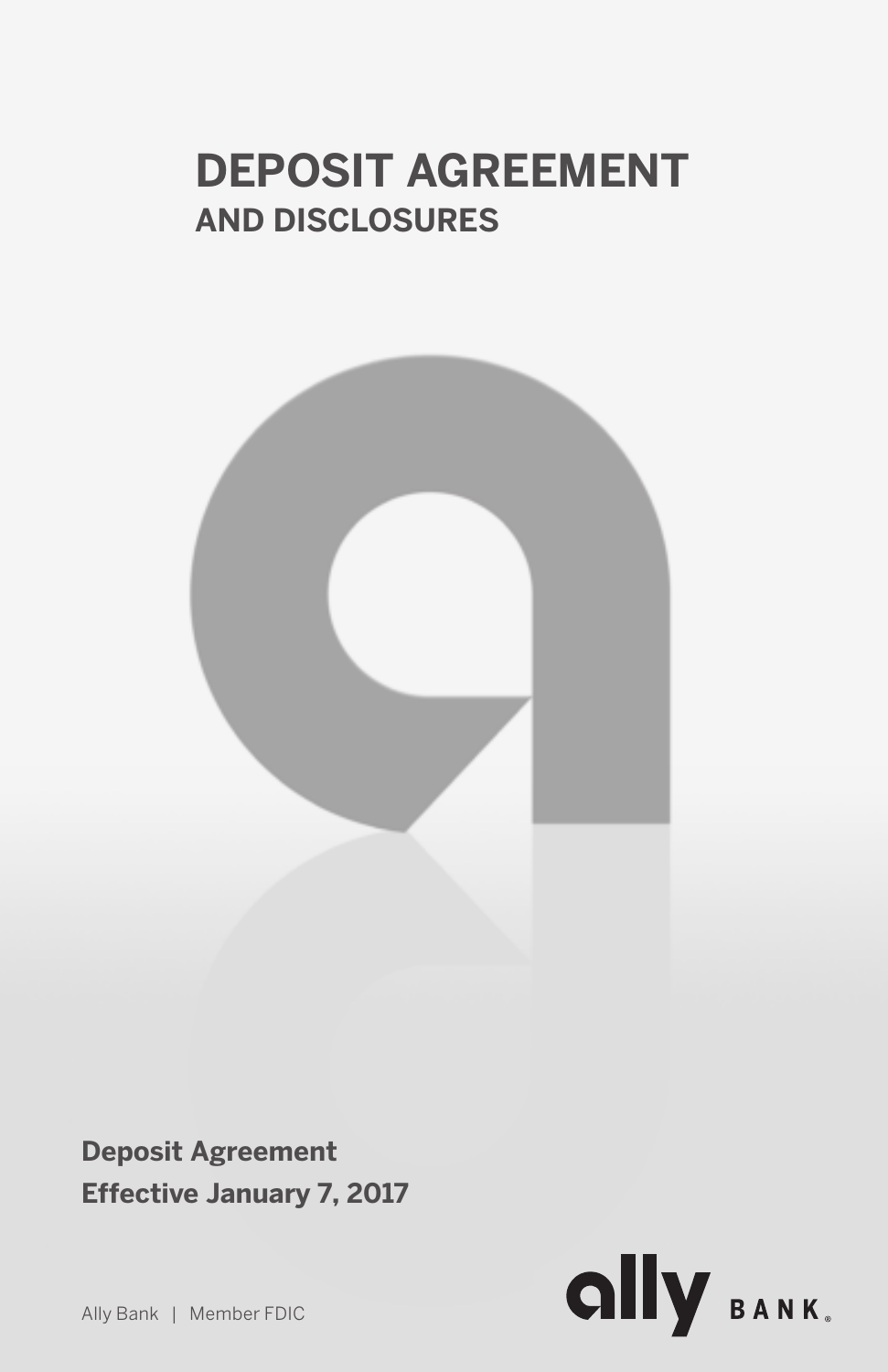# **DEPOSIT AGREEMENT**<br>AND DISCLOSURES **AND DISCLOSURES**



**Deposit Agreement Effective January 7, 2017**



Ally Bank | Member FDIC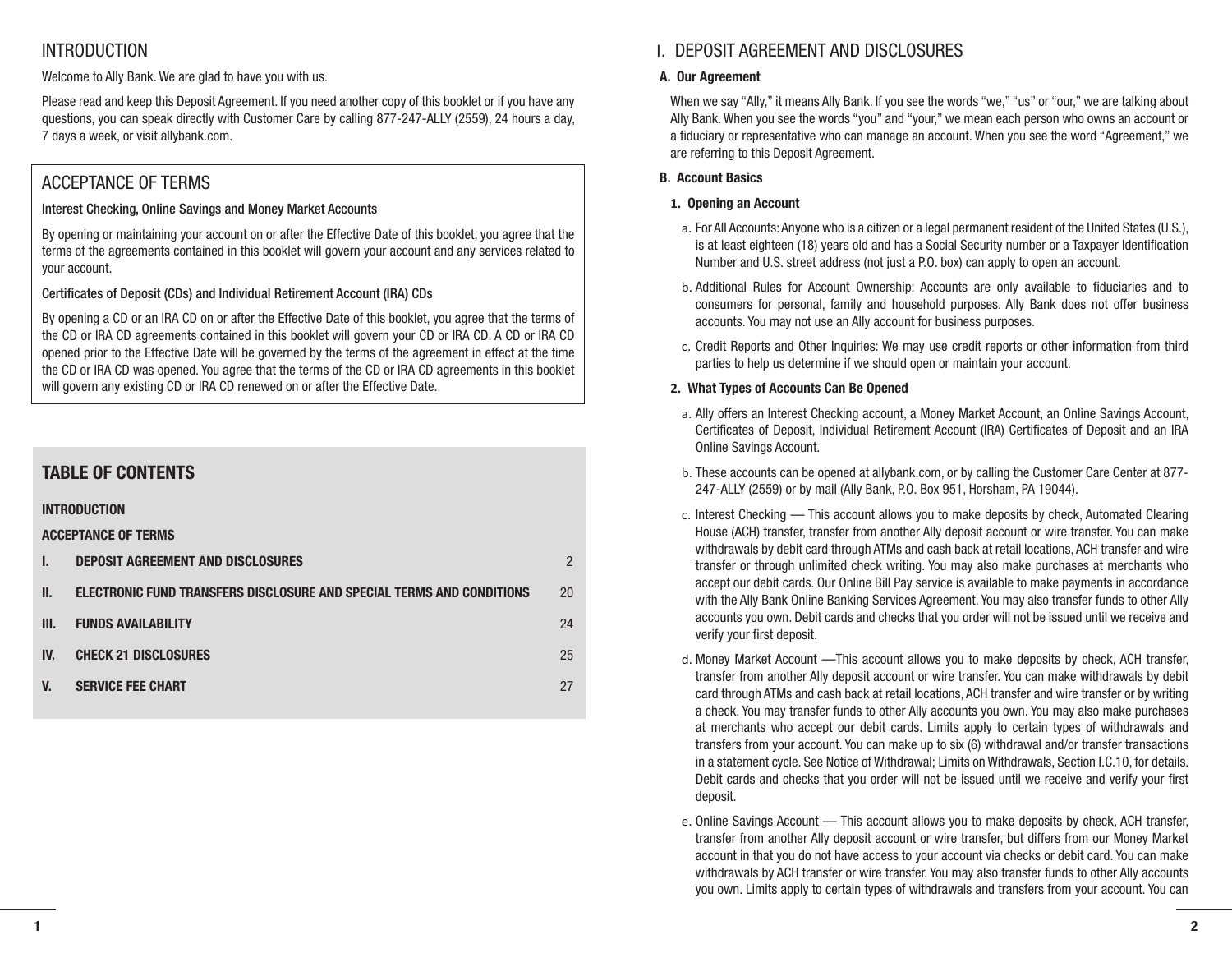# **INTRODUCTION**

Welcome to Ally Bank. We are glad to have you with us.

Please read and keep this Deposit Agreement. If you need another copy of this booklet or if you have any questions, you can speak directly with Customer Care by calling 877-247-ALLY (2559), 24 hours a day, 7 days a week, or visit allybank.com.

# ACCEPTANCE OF TERMS

# Interest Checking, Online Savings and Money Market Accounts

By opening or maintaining your account on or after the Effective Date of this booklet, you agree that the terms of the agreements contained in this booklet will govern your account and any services related to your account.

# Certificates of Deposit (CDs) and Individual Retirement Account (IRA) CDs

By opening a CD or an IRA CD on or after the Effective Date of this booklet, you agree that the terms of the CD or IRA CD agreements contained in this booklet will govern your CD or IRA CD. A CD or IRA CD opened prior to the Effective Date will be governed by the terms of the agreement in effect at the time the CD or IRA CD was opened. You agree that the terms of the CD or IRA CD agreements in this booklet will govern any existing CD or IRA CD renewed on or after the Effective Date.

# **TABLE OF CONTENTS**

# **INTRODUCTION**

**ACCEPTANCE OF TERMS**

|      | DEPOSIT AGREEMENT AND DISCLOSURES                                     | $\mathcal{P}$ |
|------|-----------------------------------------------------------------------|---------------|
| Ш.   | ELECTRONIC FUND TRANSFERS DISCLOSURE AND SPECIAL TERMS AND CONDITIONS | 20            |
| III. | <b>FUNDS AVAILABILITY</b>                                             | 24            |
| IV.  | <b>CHECK 21 DISCLOSURES</b>                                           | 25            |
| V.   | <b>SERVICE FEE CHART</b>                                              | 27            |

# I. DEPOSIT AGREEMENT AND DISCLOSURES

# **A. Our Agreement**

When we say "Ally," it means Ally Bank. If you see the words "we," "us" or "our," we are talking about Ally Bank. When you see the words "you" and "your," we mean each person who owns an account or a fiduciary or representative who can manage an account. When you see the word "Agreement," we are referring to this Deposit Agreement.

# **B. Account Basics**

# **1. Opening an Account**

- a. For All Accounts: Anyone who is a citizen or a legal permanent resident of the United States (U.S.), is at least eighteen (18) years old and has a Social Security number or a Taxpayer Identification Number and U.S. street address (not just a P.O. box) can apply to open an account.
- b. Additional Rules for Account Ownership: Accounts are only available to fiduciaries and to consumers for personal, family and household purposes. Ally Bank does not offer business accounts. You may not use an Ally account for business purposes.
- c. Credit Reports and Other Inquiries: We may use credit reports or other information from third parties to help us determine if we should open or maintain your account.

# **2. What Types of Accounts Can Be Opened**

- a. Ally offers an Interest Checking account, a Money Market Account, an Online Savings Account, Certificates of Deposit, Individual Retirement Account (IRA) Certificates of Deposit and an IRA Online Savings Account.
- b. These accounts can be opened at allybank.com, or by calling the Customer Care Center at 877- 247-ALLY (2559) or by mail (Ally Bank, P.O. Box 951, Horsham, PA 19044).
- c. Interest Checking This account allows you to make deposits by check, Automated Clearing House (ACH) transfer, transfer from another Ally deposit account or wire transfer. You can make withdrawals by debit card through ATMs and cash back at retail locations, ACH transfer and wire transfer or through unlimited check writing. You may also make purchases at merchants who accept our debit cards. Our Online Bill Pay service is available to make payments in accordance with the Ally Bank Online Banking Services Agreement. You may also transfer funds to other Ally accounts you own. Debit cards and checks that you order will not be issued until we receive and verify your first deposit.
- d. Money Market Account —This account allows you to make deposits by check, ACH transfer, transfer from another Ally deposit account or wire transfer. You can make withdrawals by debit card through ATMs and cash back at retail locations, ACH transfer and wire transfer or by writing a check. You may transfer funds to other Ally accounts you own. You may also make purchases at merchants who accept our debit cards. Limits apply to certain types of withdrawals and transfers from your account. You can make up to six (6) withdrawal and/or transfer transactions in a statement cycle. See Notice of Withdrawal; Limits on Withdrawals, Section I.C.10, for details. Debit cards and checks that you order will not be issued until we receive and verify your first deposit.
- e. Online Savings Account This account allows you to make deposits by check, ACH transfer, transfer from another Ally deposit account or wire transfer, but differs from our Money Market account in that you do not have access to your account via checks or debit card. You can make withdrawals by ACH transfer or wire transfer. You may also transfer funds to other Ally accounts you own. Limits apply to certain types of withdrawals and transfers from your account. You can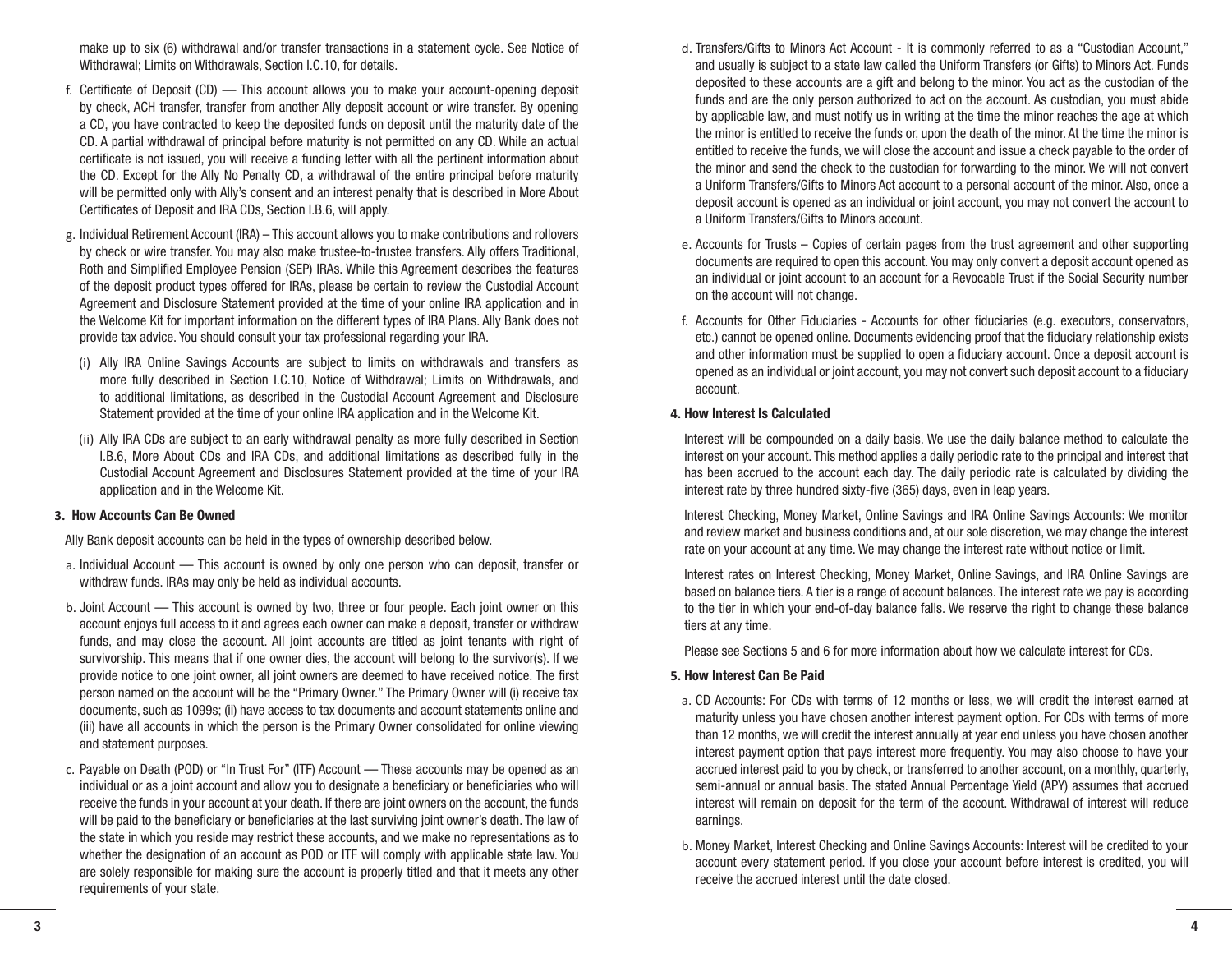make up to six (6) withdrawal and/or transfer transactions in a statement cycle. See Notice of Withdrawal; Limits on Withdrawals, Section I.C.10, for details.

- f. Certificate of Deposit (CD) This account allows you to make your account-opening deposit by check, ACH transfer, transfer from another Ally deposit account or wire transfer. By opening a CD, you have contracted to keep the deposited funds on deposit until the maturity date of the CD. A partial withdrawal of principal before maturity is not permitted on any CD. While an actual certificate is not issued, you will receive a funding letter with all the pertinent information about the CD. Except for the Ally No Penalty CD, a withdrawal of the entire principal before maturity will be permitted only with Ally's consent and an interest penalty that is described in More About Certificates of Deposit and IRA CDs, Section I.B.6, will apply.
- g. Individual Retirement Account (IRA) This account allows you to make contributions and rollovers by check or wire transfer. You may also make trustee-to-trustee transfers. Ally offers Traditional, Roth and Simplified Employee Pension (SEP) IRAs. While this Agreement describes the features of the deposit product types offered for IRAs, please be certain to review the Custodial Account Agreement and Disclosure Statement provided at the time of your online IRA application and in the Welcome Kit for important information on the different types of IRA Plans. Ally Bank does not provide tax advice. You should consult your tax professional regarding your IRA.
	- (i) Ally IRA Online Savings Accounts are subject to limits on withdrawals and transfers as more fully described in Section I.C.10, Notice of Withdrawal; Limits on Withdrawals, and to additional limitations, as described in the Custodial Account Agreement and Disclosure Statement provided at the time of your online IRA application and in the Welcome Kit.
	- (ii) Ally IRA CDs are subject to an early withdrawal penalty as more fully described in Section I.B.6, More About CDs and IRA CDs, and additional limitations as described fully in the Custodial Account Agreement and Disclosures Statement provided at the time of your IRA application and in the Welcome Kit.

#### **3. How Accounts Can Be Owned**

Ally Bank deposit accounts can be held in the types of ownership described below.

- a. Individual Account This account is owned by only one person who can deposit, transfer or withdraw funds. IRAs may only be held as individual accounts.
- b. Joint Account This account is owned by two, three or four people. Each joint owner on this account enjoys full access to it and agrees each owner can make a deposit, transfer or withdraw funds, and may close the account. All joint accounts are titled as joint tenants with right of survivorship. This means that if one owner dies, the account will belong to the survivor(s). If we provide notice to one joint owner, all joint owners are deemed to have received notice. The first person named on the account will be the "Primary Owner." The Primary Owner will (i) receive tax documents, such as 1099s; (ii) have access to tax documents and account statements online and (iii) have all accounts in which the person is the Primary Owner consolidated for online viewing and statement purposes.
- c. Payable on Death (POD) or "In Trust For" (ITF) Account These accounts may be opened as an individual or as a joint account and allow you to designate a beneficiary or beneficiaries who will receive the funds in your account at your death. If there are joint owners on the account, the funds will be paid to the beneficiary or beneficiaries at the last surviving joint owner's death. The law of the state in which you reside may restrict these accounts, and we make no representations as to whether the designation of an account as POD or ITF will comply with applicable state law. You are solely responsible for making sure the account is properly titled and that it meets any other requirements of your state.
- d. Transfers/Gifts to Minors Act Account It is commonly referred to as a "Custodian Account," and usually is subject to a state law called the Uniform Transfers (or Gifts) to Minors Act. Funds deposited to these accounts are a gift and belong to the minor. You act as the custodian of the funds and are the only person authorized to act on the account. As custodian, you must abide by applicable law, and must notify us in writing at the time the minor reaches the age at which the minor is entitled to receive the funds or, upon the death of the minor. At the time the minor is entitled to receive the funds, we will close the account and issue a check payable to the order of the minor and send the check to the custodian for forwarding to the minor. We will not convert a Uniform Transfers/Gifts to Minors Act account to a personal account of the minor. Also, once a deposit account is opened as an individual or joint account, you may not convert the account to a Uniform Transfers/Gifts to Minors account.
- e. Accounts for Trusts Copies of certain pages from the trust agreement and other supporting documents are required to open this account. You may only convert a deposit account opened as an individual or joint account to an account for a Revocable Trust if the Social Security number on the account will not change.
- f. Accounts for Other Fiduciaries Accounts for other fiduciaries (e.g. executors, conservators, etc.) cannot be opened online. Documents evidencing proof that the fiduciary relationship exists and other information must be supplied to open a fiduciary account. Once a deposit account is opened as an individual or joint account, you may not convert such deposit account to a fiduciary account.

#### **4. How Interest Is Calculated**

Interest will be compounded on a daily basis. We use the daily balance method to calculate the interest on your account. This method applies a daily periodic rate to the principal and interest that has been accrued to the account each day. The daily periodic rate is calculated by dividing the interest rate by three hundred sixty-five (365) days, even in leap years.

Interest Checking, Money Market, Online Savings and IRA Online Savings Accounts: We monitor and review market and business conditions and, at our sole discretion, we may change the interest rate on your account at any time. We may change the interest rate without notice or limit.

Interest rates on Interest Checking, Money Market, Online Savings, and IRA Online Savings are based on balance tiers. A tier is a range of account balances. The interest rate we pay is according to the tier in which your end-of-day balance falls. We reserve the right to change these balance tiers at any time.

Please see Sections 5 and 6 for more information about how we calculate interest for CDs.

# **5. How Interest Can Be Paid**

- a. CD Accounts: For CDs with terms of 12 months or less, we will credit the interest earned at maturity unless you have chosen another interest payment option. For CDs with terms of more than 12 months, we will credit the interest annually at year end unless you have chosen another interest payment option that pays interest more frequently. You may also choose to have your accrued interest paid to you by check, or transferred to another account, on a monthly, quarterly, semi-annual or annual basis. The stated Annual Percentage Yield (APY) assumes that accrued interest will remain on deposit for the term of the account. Withdrawal of interest will reduce earnings.
- b. Money Market, Interest Checking and Online Savings Accounts: Interest will be credited to your account every statement period. If you close your account before interest is credited, you will receive the accrued interest until the date closed.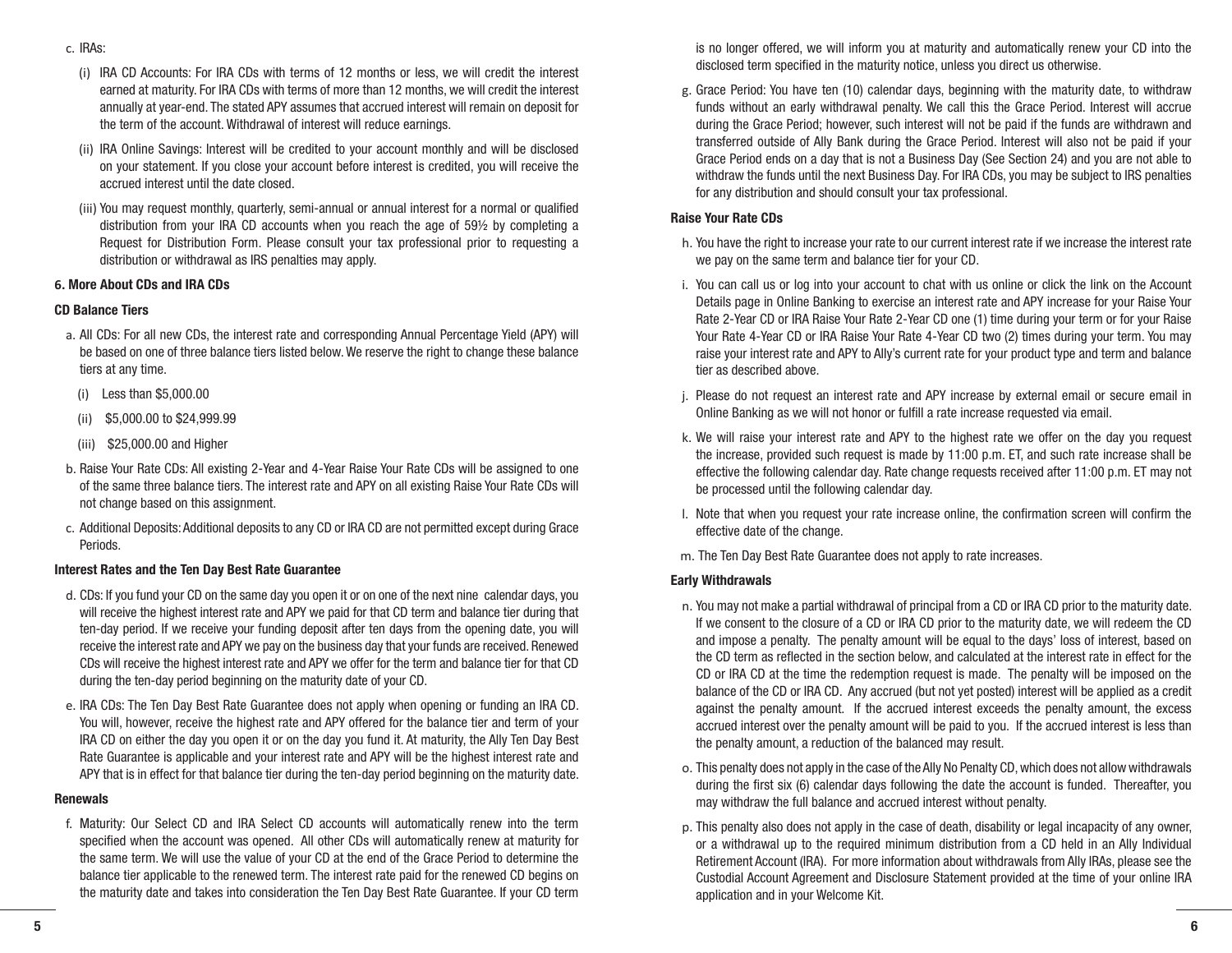- (i) IRA CD Accounts: For IRA CDs with terms of 12 months or less, we will credit the interest earned at maturity. For IRA CDs with terms of more than 12 months, we will credit the interest annually at year-end. The stated APY assumes that accrued interest will remain on deposit for the term of the account. Withdrawal of interest will reduce earnings.
- (ii) IRA Online Savings: Interest will be credited to your account monthly and will be disclosed on your statement. If you close your account before interest is credited, you will receive the accrued interest until the date closed.
- (iii) You may request monthly, quarterly, semi-annual or annual interest for a normal or qualified distribution from your IRA CD accounts when you reach the age of 59½ by completing a Request for Distribution Form. Please consult your tax professional prior to requesting a distribution or withdrawal as IRS penalties may apply.

# **6. More About CDs and IRA CDs**

# **CD Balance Tiers**

- a. All CDs: For all new CDs, the interest rate and corresponding Annual Percentage Yield (APY) will be based on one of three balance tiers listed below. We reserve the right to change these balance tiers at any time.
	- (i) Less than \$5,000.00
	- (ii) \$5,000.00 to \$24,999.99
	- (iii) \$25,000.00 and Higher
- b. Raise Your Rate CDs: All existing 2-Year and 4-Year Raise Your Rate CDs will be assigned to one of the same three balance tiers. The interest rate and APY on all existing Raise Your Rate CDs will not change based on this assignment.
- c. Additional Deposits: Additional deposits to any CD or IRA CD are not permitted except during Grace Periods.

# **Interest Rates and the Ten Day Best Rate Guarantee**

- d. CDs: If you fund your CD on the same day you open it or on one of the next nine calendar days, you will receive the highest interest rate and APY we paid for that CD term and balance tier during that ten-day period. If we receive your funding deposit after ten days from the opening date, you will receive the interest rate and APY we pay on the business day that your funds are received. Renewed CDs will receive the highest interest rate and APY we offer for the term and balance tier for that CD during the ten-day period beginning on the maturity date of your CD.
- e. IRA CDs: The Ten Day Best Rate Guarantee does not apply when opening or funding an IRA CD. You will, however, receive the highest rate and APY offered for the balance tier and term of your IRA CD on either the day you open it or on the day you fund it. At maturity, the Ally Ten Day Best Rate Guarantee is applicable and your interest rate and APY will be the highest interest rate and APY that is in effect for that balance tier during the ten-day period beginning on the maturity date.

# **Renewals**

f. Maturity: Our Select CD and IRA Select CD accounts will automatically renew into the term specified when the account was opened. All other CDs will automatically renew at maturity for the same term. We will use the value of your CD at the end of the Grace Period to determine the balance tier applicable to the renewed term. The interest rate paid for the renewed CD begins on the maturity date and takes into consideration the Ten Day Best Rate Guarantee. If your CD term

is no longer offered, we will inform you at maturity and automatically renew your CD into the disclosed term specified in the maturity notice, unless you direct us otherwise.

g. Grace Period: You have ten (10) calendar days, beginning with the maturity date, to withdraw funds without an early withdrawal penalty. We call this the Grace Period. Interest will accrue during the Grace Period; however, such interest will not be paid if the funds are withdrawn and transferred outside of Ally Bank during the Grace Period. Interest will also not be paid if your Grace Period ends on a day that is not a Business Day (See Section 24) and you are not able to withdraw the funds until the next Business Day. For IRA CDs, you may be subject to IRS penalties for any distribution and should consult your tax professional.

# **Raise Your Rate CDs**

- h. You have the right to increase your rate to our current interest rate if we increase the interest rate we pay on the same term and balance tier for your CD.
- i. You can call us or log into your account to chat with us online or click the link on the Account Details page in Online Banking to exercise an interest rate and APY increase for your Raise Your Rate 2-Year CD or IRA Raise Your Rate 2-Year CD one (1) time during your term or for your Raise Your Rate 4-Year CD or IRA Raise Your Rate 4-Year CD two (2) times during your term. You may raise your interest rate and APY to Ally's current rate for your product type and term and balance tier as described above.
- j. Please do not request an interest rate and APY increase by external email or secure email in Online Banking as we will not honor or fulfill a rate increase requested via email.
- k. We will raise your interest rate and APY to the highest rate we offer on the day you request the increase, provided such request is made by 11:00 p.m. ET, and such rate increase shall be effective the following calendar day. Rate change requests received after 11:00 p.m. ET may not be processed until the following calendar day.
- l. Note that when you request your rate increase online, the confirmation screen will confirm the effective date of the change.
- m. The Ten Day Best Rate Guarantee does not apply to rate increases.

# **Early Withdrawals**

- n. You may not make a partial withdrawal of principal from a CD or IRA CD prior to the maturity date. If we consent to the closure of a CD or IRA CD prior to the maturity date, we will redeem the CD and impose a penalty. The penalty amount will be equal to the days' loss of interest, based on the CD term as reflected in the section below, and calculated at the interest rate in effect for the CD or IRA CD at the time the redemption request is made. The penalty will be imposed on the balance of the CD or IRA CD. Any accrued (but not yet posted) interest will be applied as a credit against the penalty amount. If the accrued interest exceeds the penalty amount, the excess accrued interest over the penalty amount will be paid to you. If the accrued interest is less than the penalty amount, a reduction of the balanced may result.
- o. This penalty does not apply in the case of the Ally No Penalty CD, which does not allow withdrawals during the first six (6) calendar days following the date the account is funded. Thereafter, you may withdraw the full balance and accrued interest without penalty.
- p. This penalty also does not apply in the case of death, disability or legal incapacity of any owner, or a withdrawal up to the required minimum distribution from a CD held in an Ally Individual Retirement Account (IRA). For more information about withdrawals from Ally IRAs, please see the Custodial Account Agreement and Disclosure Statement provided at the time of your online IRA application and in your Welcome Kit.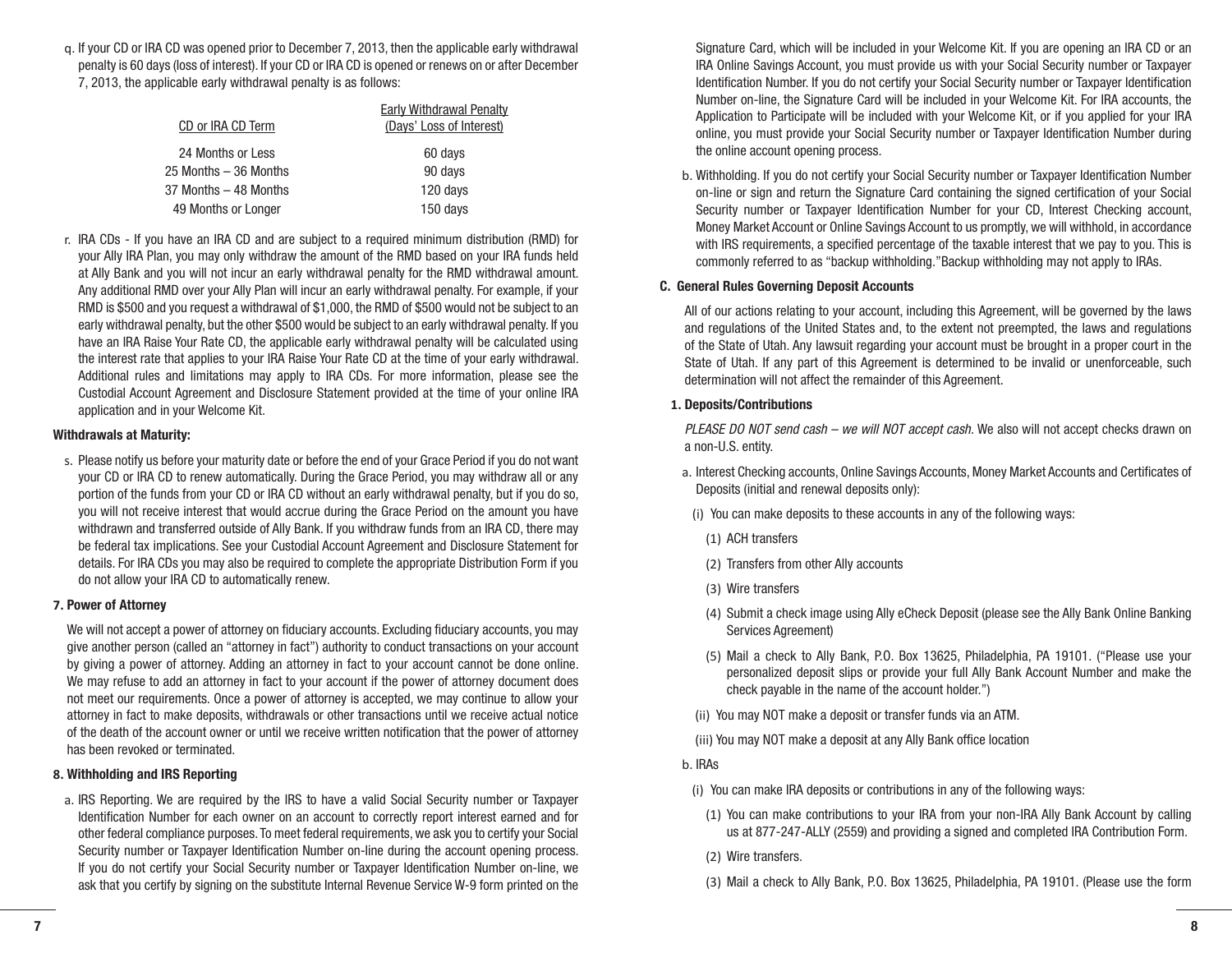q. If your CD or IRA CD was opened prior to December 7, 2013, then the applicable early withdrawal penalty is 60 days (loss of interest). If your CD or IRA CD is opened or renews on or after December 7, 2013, the applicable early withdrawal penalty is as follows:

| <b>Early Withdrawal Penalty</b> |
|---------------------------------|
| (Days' Loss of Interest)        |
| 60 days                         |
| 90 days                         |
| 120 days                        |
| 150 days                        |
|                                 |

r. IRA CDs - If you have an IRA CD and are subject to a required minimum distribution (RMD) for your Ally IRA Plan, you may only withdraw the amount of the RMD based on your IRA funds held at Ally Bank and you will not incur an early withdrawal penalty for the RMD withdrawal amount. Any additional RMD over your Ally Plan will incur an early withdrawal penalty. For example, if your RMD is \$500 and you request a withdrawal of \$1,000, the RMD of \$500 would not be subject to an early withdrawal penalty, but the other \$500 would be subject to an early withdrawal penalty. If you have an IRA Raise Your Rate CD, the applicable early withdrawal penalty will be calculated using the interest rate that applies to your IRA Raise Your Rate CD at the time of your early withdrawal. Additional rules and limitations may apply to IRA CDs. For more information, please see the Custodial Account Agreement and Disclosure Statement provided at the time of your online IRA application and in your Welcome Kit.

#### **Withdrawals at Maturity:**

s. Please notify us before your maturity date or before the end of your Grace Period if you do not want your CD or IRA CD to renew automatically. During the Grace Period, you may withdraw all or any portion of the funds from your CD or IRA CD without an early withdrawal penalty, but if you do so, you will not receive interest that would accrue during the Grace Period on the amount you have withdrawn and transferred outside of Ally Bank. If you withdraw funds from an IRA CD, there may be federal tax implications. See your Custodial Account Agreement and Disclosure Statement for details. For IRA CDs you may also be required to complete the appropriate Distribution Form if you do not allow your IRA CD to automatically renew.

#### **7. Power of Attorney**

We will not accept a power of attorney on fiduciary accounts. Excluding fiduciary accounts, you may give another person (called an "attorney in fact") authority to conduct transactions on your account by giving a power of attorney. Adding an attorney in fact to your account cannot be done online. We may refuse to add an attorney in fact to your account if the power of attorney document does not meet our requirements. Once a power of attorney is accepted, we may continue to allow your attorney in fact to make deposits, withdrawals or other transactions until we receive actual notice of the death of the account owner or until we receive written notification that the power of attorney has been revoked or terminated.

#### **8. Withholding and IRS Reporting**

a. IRS Reporting. We are required by the IRS to have a valid Social Security number or Taxpayer Identification Number for each owner on an account to correctly report interest earned and for other federal compliance purposes. To meet federal requirements, we ask you to certify your Social Security number or Taxpayer Identification Number on-line during the account opening process. If you do not certify your Social Security number or Taxpayer Identification Number on-line, we ask that you certify by signing on the substitute Internal Revenue Service W-9 form printed on the

Signature Card, which will be included in your Welcome Kit. If you are opening an IRA CD or an IRA Online Savings Account, you must provide us with your Social Security number or Taxpayer Identification Number. If you do not certify your Social Security number or Taxpayer Identification Number on-line, the Signature Card will be included in your Welcome Kit. For IRA accounts, the Application to Participate will be included with your Welcome Kit, or if you applied for your IRA online, you must provide your Social Security number or Taxpayer Identification Number during the online account opening process.

b. Withholding. If you do not certify your Social Security number or Taxpayer Identification Number on-line or sign and return the Signature Card containing the signed certification of your Social Security number or Taxpayer Identification Number for your CD, Interest Checking account, Money Market Account or Online Savings Account to us promptly, we will withhold, in accordance with IRS requirements, a specified percentage of the taxable interest that we pay to you. This is commonly referred to as "backup withholding."Backup withholding may not apply to IRAs.

#### **C. General Rules Governing Deposit Accounts**

All of our actions relating to your account, including this Agreement, will be governed by the laws and regulations of the United States and, to the extent not preempted, the laws and regulations of the State of Utah. Any lawsuit regarding your account must be brought in a proper court in the State of Utah. If any part of this Agreement is determined to be invalid or unenforceable, such determination will not affect the remainder of this Agreement.

#### **1. Deposits/Contributions**

*PLEASE DO NOT send cash – we will NOT accept cash.* We also will not accept checks drawn on a non-U.S. entity.

- a. Interest Checking accounts, Online Savings Accounts, Money Market Accounts and Certificates of Deposits (initial and renewal deposits only):
- (i) You can make deposits to these accounts in any of the following ways:
	- (1) ACH transfers
	- (2) Transfers from other Ally accounts
- (3) Wire transfers
- (4) Submit a check image using Ally eCheck Deposit (please see the Ally Bank Online Banking Services Agreement)
- (5) Mail a check to Ally Bank, P.O. Box 13625, Philadelphia, PA 19101. ("Please use your personalized deposit slips or provide your full Ally Bank Account Number and make the check payable in the name of the account holder.")
- (ii) You may NOT make a deposit or transfer funds via an ATM.
- (iii) You may NOT make a deposit at any Ally Bank office location
- b. IRAs
- (i) You can make IRA deposits or contributions in any of the following ways:
	- (1) You can make contributions to your IRA from your non-IRA Ally Bank Account by calling us at 877-247-ALLY (2559) and providing a signed and completed IRA Contribution Form.
	- (2) Wire transfers.

(3) Mail a check to Ally Bank, P.O. Box 13625, Philadelphia, PA 19101. (Please use the form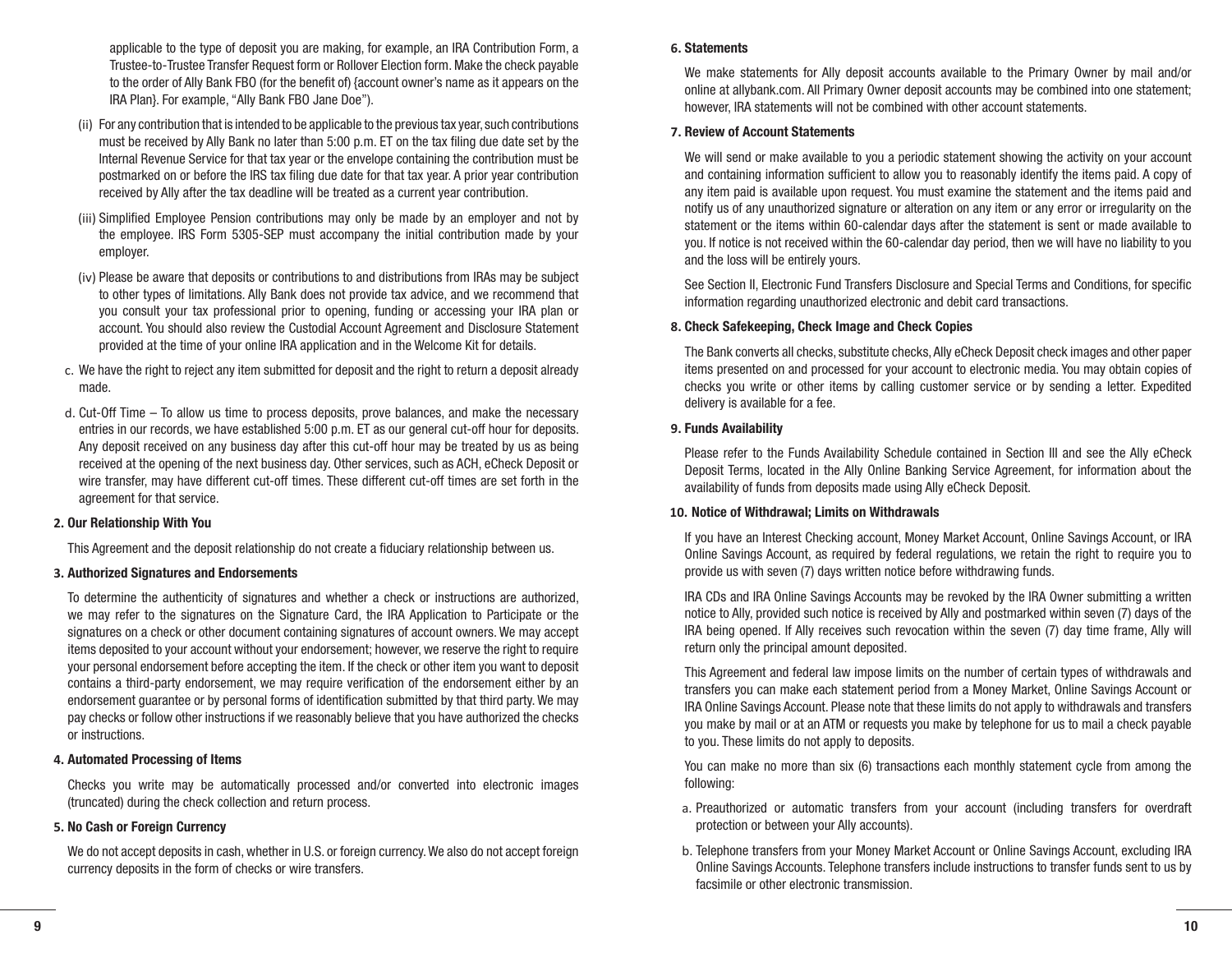applicable to the type of deposit you are making, for example, an IRA Contribution Form, a Trustee-to-Trustee Transfer Request form or Rollover Election form. Make the check payable to the order of Ally Bank FBO (for the benefit of) {account owner's name as it appears on the IRA Plan}. For example, "Ally Bank FBO Jane Doe").

- (ii) For any contribution that is intended to be applicable to the previous tax year, such contributions must be received by Ally Bank no later than 5:00 p.m. ET on the tax filing due date set by the Internal Revenue Service for that tax year or the envelope containing the contribution must be postmarked on or before the IRS tax filing due date for that tax year. A prior year contribution received by Ally after the tax deadline will be treated as a current year contribution.
- (iii) Simplified Employee Pension contributions may only be made by an employer and not by the employee. IRS Form 5305-SEP must accompany the initial contribution made by your employer.
- (iv) Please be aware that deposits or contributions to and distributions from IRAs may be subject to other types of limitations. Ally Bank does not provide tax advice, and we recommend that you consult your tax professional prior to opening, funding or accessing your IRA plan or account. You should also review the Custodial Account Agreement and Disclosure Statement provided at the time of your online IRA application and in the Welcome Kit for details.
- c. We have the right to reject any item submitted for deposit and the right to return a deposit already made.
- d. Cut-Off Time To allow us time to process deposits, prove balances, and make the necessary entries in our records, we have established 5:00 p.m. ET as our general cut-off hour for deposits. Any deposit received on any business day after this cut-off hour may be treated by us as being received at the opening of the next business day. Other services, such as ACH, eCheck Deposit or wire transfer, may have different cut-off times. These different cut-off times are set forth in the agreement for that service.

#### **2. Our Relationship With You**

This Agreement and the deposit relationship do not create a fiduciary relationship between us.

#### **3. Authorized Signatures and Endorsements**

To determine the authenticity of signatures and whether a check or instructions are authorized, we may refer to the signatures on the Signature Card, the IRA Application to Participate or the signatures on a check or other document containing signatures of account owners. We may accept items deposited to your account without your endorsement; however, we reserve the right to require your personal endorsement before accepting the item. If the check or other item you want to deposit contains a third-party endorsement, we may require verification of the endorsement either by an endorsement guarantee or by personal forms of identification submitted by that third party. We may pay checks or follow other instructions if we reasonably believe that you have authorized the checks or instructions.

#### **4. Automated Processing of Items**

Checks you write may be automatically processed and/or converted into electronic images (truncated) during the check collection and return process.

#### **5. No Cash or Foreign Currency**

We do not accept deposits in cash, whether in U.S. or foreign currency. We also do not accept foreign currency deposits in the form of checks or wire transfers.

#### **6. Statements**

We make statements for Ally deposit accounts available to the Primary Owner by mail and/or online at allybank.com. All Primary Owner deposit accounts may be combined into one statement; however, IRA statements will not be combined with other account statements.

#### **7. Review of Account Statements**

We will send or make available to you a periodic statement showing the activity on your account and containing information sufficient to allow you to reasonably identify the items paid. A copy of any item paid is available upon request. You must examine the statement and the items paid and notify us of any unauthorized signature or alteration on any item or any error or irregularity on the statement or the items within 60-calendar days after the statement is sent or made available to you. If notice is not received within the 60-calendar day period, then we will have no liability to you and the loss will be entirely yours.

See Section II, Electronic Fund Transfers Disclosure and Special Terms and Conditions, for specific information regarding unauthorized electronic and debit card transactions.

#### **8. Check Safekeeping, Check Image and Check Copies**

The Bank converts all checks, substitute checks, Ally eCheck Deposit check images and other paper items presented on and processed for your account to electronic media. You may obtain copies of checks you write or other items by calling customer service or by sending a letter. Expedited delivery is available for a fee.

#### **9. Funds Availability**

Please refer to the Funds Availability Schedule contained in Section III and see the Ally eCheck Deposit Terms, located in the Ally Online Banking Service Agreement, for information about the availability of funds from deposits made using Ally eCheck Deposit.

#### **10. Notice of Withdrawal; Limits on Withdrawals**

If you have an Interest Checking account, Money Market Account, Online Savings Account, or IRA Online Savings Account, as required by federal regulations, we retain the right to require you to provide us with seven (7) days written notice before withdrawing funds.

IRA CDs and IRA Online Savings Accounts may be revoked by the IRA Owner submitting a written notice to Ally, provided such notice is received by Ally and postmarked within seven (7) days of the IRA being opened. If Ally receives such revocation within the seven (7) day time frame, Ally will return only the principal amount deposited.

This Agreement and federal law impose limits on the number of certain types of withdrawals and transfers you can make each statement period from a Money Market, Online Savings Account or IRA Online Savings Account. Please note that these limits do not apply to withdrawals and transfers you make by mail or at an ATM or requests you make by telephone for us to mail a check payable to you. These limits do not apply to deposits.

You can make no more than six (6) transactions each monthly statement cycle from among the following:

- a. Preauthorized or automatic transfers from your account (including transfers for overdraft protection or between your Ally accounts).
- b. Telephone transfers from your Money Market Account or Online Savings Account, excluding IRA Online Savings Accounts. Telephone transfers include instructions to transfer funds sent to us by facsimile or other electronic transmission.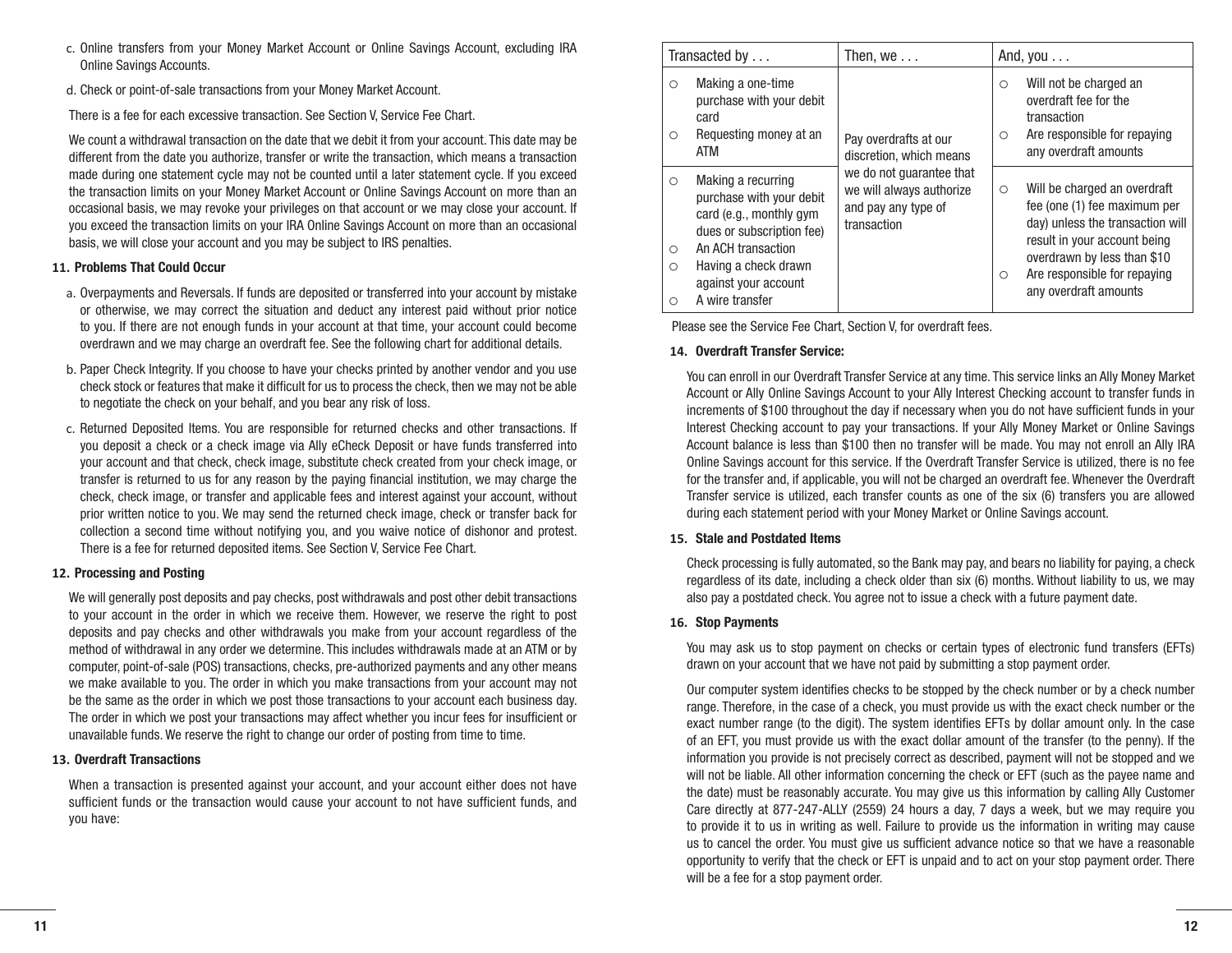- c. Online transfers from your Money Market Account or Online Savings Account, excluding IRA Online Savings Accounts.
- d. Check or point-of-sale transactions from your Money Market Account.

There is a fee for each excessive transaction. See Section V, Service Fee Chart.

We count a withdrawal transaction on the date that we debit it from your account. This date may be different from the date you authorize, transfer or write the transaction, which means a transaction made during one statement cycle may not be counted until a later statement cycle. If you exceed the transaction limits on your Money Market Account or Online Savings Account on more than an occasional basis, we may revoke your privileges on that account or we may close your account. If you exceed the transaction limits on your IRA Online Savings Account on more than an occasional basis, we will close your account and you may be subject to IRS penalties.

# **11. Problems That Could Occur**

- a. Overpayments and Reversals. If funds are deposited or transferred into your account by mistake or otherwise, we may correct the situation and deduct any interest paid without prior notice to you. If there are not enough funds in your account at that time, your account could become overdrawn and we may charge an overdraft fee. See the following chart for additional details.
- b. Paper Check Integrity. If you choose to have your checks printed by another vendor and you use check stock or features that make it difficult for us to process the check, then we may not be able to negotiate the check on your behalf, and you bear any risk of loss.
- c. Returned Deposited Items. You are responsible for returned checks and other transactions. If you deposit a check or a check image via Ally eCheck Deposit or have funds transferred into your account and that check, check image, substitute check created from your check image, or transfer is returned to us for any reason by the paying financial institution, we may charge the check, check image, or transfer and applicable fees and interest against your account, without prior written notice to you. We may send the returned check image, check or transfer back for collection a second time without notifying you, and you waive notice of dishonor and protest. There is a fee for returned deposited items. See Section V, Service Fee Chart.

# **12. Processing and Posting**

We will generally post deposits and pay checks, post withdrawals and post other debit transactions to your account in the order in which we receive them. However, we reserve the right to post deposits and pay checks and other withdrawals you make from your account regardless of the method of withdrawal in any order we determine. This includes withdrawals made at an ATM or by computer, point-of-sale (POS) transactions, checks, pre-authorized payments and any other means we make available to you. The order in which you make transactions from your account may not be the same as the order in which we post those transactions to your account each business day. The order in which we post your transactions may affect whether you incur fees for insufficient or unavailable funds. We reserve the right to change our order of posting from time to time.

# **13. Overdraft Transactions**

When a transaction is presented against your account, and your account either does not have sufficient funds or the transaction would cause your account to not have sufficient funds, and you have:

|                         | Transacted by                                                                                                                                                                                   | Then, we $\dots$                                                                           | And, you $\dots$                                                                                                                                                                                                                               |
|-------------------------|-------------------------------------------------------------------------------------------------------------------------------------------------------------------------------------------------|--------------------------------------------------------------------------------------------|------------------------------------------------------------------------------------------------------------------------------------------------------------------------------------------------------------------------------------------------|
| O<br>Ω                  | Making a one-time<br>purchase with your debit<br>card<br>Requesting money at an<br>ATM                                                                                                          | Pay overdrafts at our<br>discretion, which means                                           | Will not be charged an<br>$\circ$<br>overdraft fee for the<br>transaction<br>Are responsible for repaying<br>$\circ$<br>any overdraft amounts                                                                                                  |
| $\Omega$<br>O<br>Ω<br>Ω | Making a recurring<br>purchase with your debit<br>card (e.g., monthly gym<br>dues or subscription fee)<br>An ACH transaction<br>Having a check drawn<br>against your account<br>A wire transfer | we do not quarantee that<br>we will always authorize<br>and pay any type of<br>transaction | Will be charged an overdraft<br>$\circ$<br>fee (one (1) fee maximum per<br>day) unless the transaction will<br>result in your account being<br>overdrawn by less than \$10<br>Are responsible for repaying<br>$\circ$<br>any overdraft amounts |

Please see the Service Fee Chart, Section V, for overdraft fees.

# **14. Overdraft Transfer Service:**

You can enroll in our Overdraft Transfer Service at any time. This service links an Ally Money Market Account or Ally Online Savings Account to your Ally Interest Checking account to transfer funds in increments of \$100 throughout the day if necessary when you do not have sufficient funds in your Interest Checking account to pay your transactions. If your Ally Money Market or Online Savings Account balance is less than \$100 then no transfer will be made. You may not enroll an Ally IRA Online Savings account for this service. If the Overdraft Transfer Service is utilized, there is no fee for the transfer and, if applicable, you will not be charged an overdraft fee. Whenever the Overdraft Transfer service is utilized, each transfer counts as one of the six (6) transfers you are allowed during each statement period with your Money Market or Online Savings account.

# **15. Stale and Postdated Items**

Check processing is fully automated, so the Bank may pay, and bears no liability for paying, a check regardless of its date, including a check older than six (6) months. Without liability to us, we may also pay a postdated check. You agree not to issue a check with a future payment date.

# **16. Stop Payments**

You may ask us to stop payment on checks or certain types of electronic fund transfers (EFTs) drawn on your account that we have not paid by submitting a stop payment order.

Our computer system identifies checks to be stopped by the check number or by a check number range. Therefore, in the case of a check, you must provide us with the exact check number or the exact number range (to the digit). The system identifies EFTs by dollar amount only. In the case of an EFT, you must provide us with the exact dollar amount of the transfer (to the penny). If the information you provide is not precisely correct as described, payment will not be stopped and we will not be liable. All other information concerning the check or EFT (such as the payee name and the date) must be reasonably accurate. You may give us this information by calling Ally Customer Care directly at 877-247-ALLY (2559) 24 hours a day, 7 days a week, but we may require you to provide it to us in writing as well. Failure to provide us the information in writing may cause us to cancel the order. You must give us sufficient advance notice so that we have a reasonable opportunity to verify that the check or EFT is unpaid and to act on your stop payment order. There will be a fee for a stop payment order.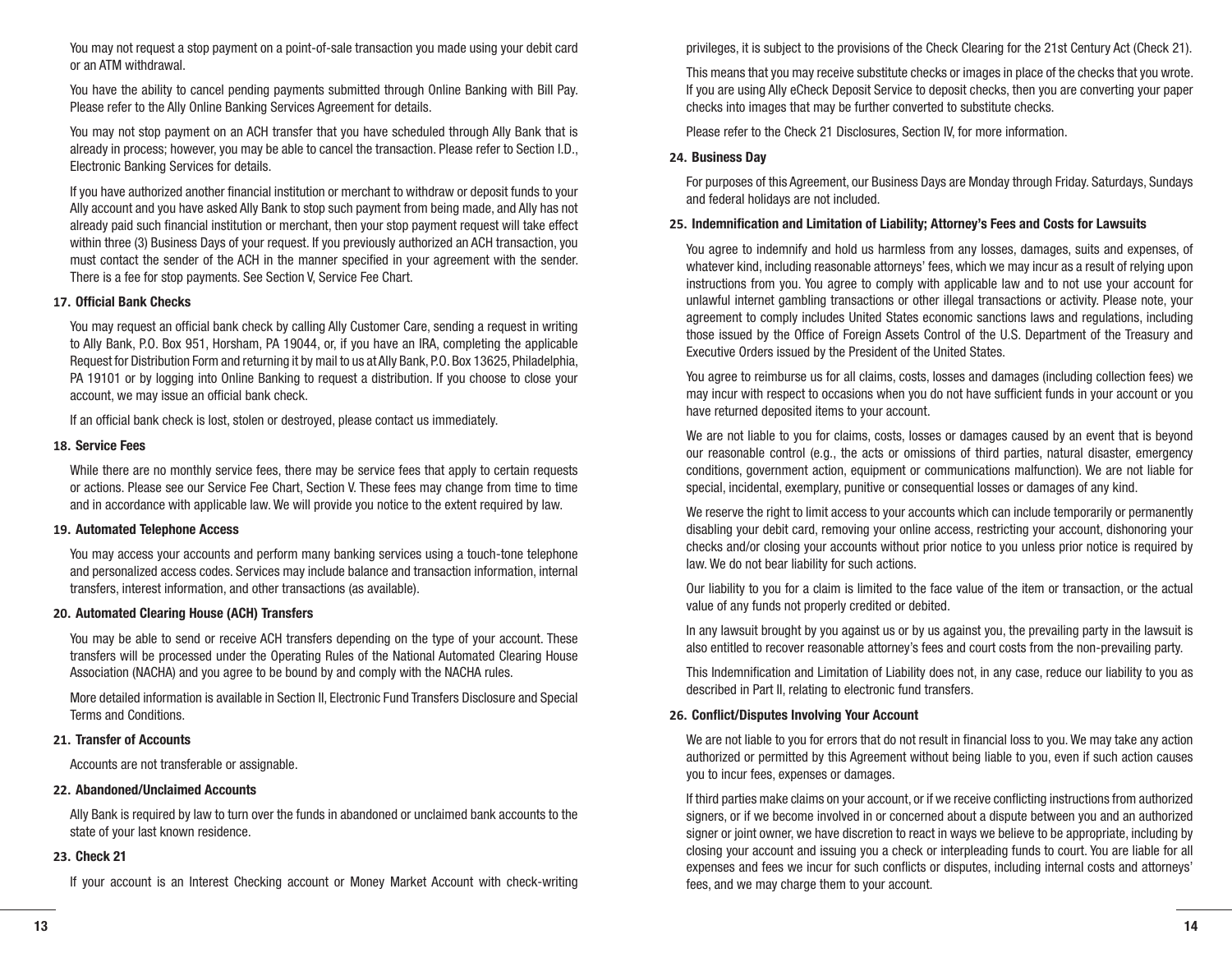You may not request a stop payment on a point-of-sale transaction you made using your debit card or an ATM withdrawal.

You have the ability to cancel pending payments submitted through Online Banking with Bill Pay. Please refer to the Ally Online Banking Services Agreement for details.

You may not stop payment on an ACH transfer that you have scheduled through Ally Bank that is already in process; however, you may be able to cancel the transaction. Please refer to Section I.D., Electronic Banking Services for details.

If you have authorized another financial institution or merchant to withdraw or deposit funds to your Ally account and you have asked Ally Bank to stop such payment from being made, and Ally has not already paid such financial institution or merchant, then your stop payment request will take effect within three (3) Business Days of your request. If you previously authorized an ACH transaction, you must contact the sender of the ACH in the manner specified in your agreement with the sender. There is a fee for stop payments. See Section V, Service Fee Chart.

#### **17. Official Bank Checks**

You may request an official bank check by calling Ally Customer Care, sending a request in writing to Ally Bank, P.O. Box 951, Horsham, PA 19044, or, if you have an IRA, completing the applicable Request for Distribution Form and returning it by mail to us at Ally Bank, P.O. Box 13625, Philadelphia, PA 19101 or by logging into Online Banking to request a distribution. If you choose to close your account, we may issue an official bank check.

If an official bank check is lost, stolen or destroyed, please contact us immediately.

#### **18. Service Fees**

While there are no monthly service fees, there may be service fees that apply to certain requests or actions. Please see our Service Fee Chart, Section V. These fees may change from time to time and in accordance with applicable law. We will provide you notice to the extent required by law.

#### **19. Automated Telephone Access**

You may access your accounts and perform many banking services using a touch-tone telephone and personalized access codes. Services may include balance and transaction information, internal transfers, interest information, and other transactions (as available).

#### **20. Automated Clearing House (ACH) Transfers**

You may be able to send or receive ACH transfers depending on the type of your account. These transfers will be processed under the Operating Rules of the National Automated Clearing House Association (NACHA) and you agree to be bound by and comply with the NACHA rules.

More detailed information is available in Section II, Electronic Fund Transfers Disclosure and Special Terms and Conditions.

#### **21. Transfer of Accounts**

Accounts are not transferable or assignable.

#### **22. Abandoned/Unclaimed Accounts**

Ally Bank is required by law to turn over the funds in abandoned or unclaimed bank accounts to the state of your last known residence.

#### **23. Check 21**

If your account is an Interest Checking account or Money Market Account with check-writing

privileges, it is subject to the provisions of the Check Clearing for the 21st Century Act (Check 21).

This means that you may receive substitute checks or images in place of the checks that you wrote. If you are using Ally eCheck Deposit Service to deposit checks, then you are converting your paper checks into images that may be further converted to substitute checks.

Please refer to the Check 21 Disclosures, Section IV, for more information.

#### **24. Business Day**

For purposes of this Agreement, our Business Days are Monday through Friday. Saturdays, Sundays and federal holidays are not included.

#### **25. Indemnification and Limitation of Liability; Attorney's Fees and Costs for Lawsuits**

You agree to indemnify and hold us harmless from any losses, damages, suits and expenses, of whatever kind, including reasonable attorneys' fees, which we may incur as a result of relying upon instructions from you. You agree to comply with applicable law and to not use your account for unlawful internet gambling transactions or other illegal transactions or activity. Please note, your agreement to comply includes United States economic sanctions laws and regulations, including those issued by the Office of Foreign Assets Control of the U.S. Department of the Treasury and Executive Orders issued by the President of the United States.

You agree to reimburse us for all claims, costs, losses and damages (including collection fees) we may incur with respect to occasions when you do not have sufficient funds in your account or you have returned deposited items to your account.

We are not liable to you for claims, costs, losses or damages caused by an event that is beyond our reasonable control (e.g., the acts or omissions of third parties, natural disaster, emergency conditions, government action, equipment or communications malfunction). We are not liable for special, incidental, exemplary, punitive or consequential losses or damages of any kind.

We reserve the right to limit access to your accounts which can include temporarily or permanently disabling your debit card, removing your online access, restricting your account, dishonoring your checks and/or closing your accounts without prior notice to you unless prior notice is required by law. We do not bear liability for such actions.

Our liability to you for a claim is limited to the face value of the item or transaction, or the actual value of any funds not properly credited or debited.

In any lawsuit brought by you against us or by us against you, the prevailing party in the lawsuit is also entitled to recover reasonable attorney's fees and court costs from the non-prevailing party.

This Indemnification and Limitation of Liability does not, in any case, reduce our liability to you as described in Part II, relating to electronic fund transfers.

#### **26. Conflict/Disputes Involving Your Account**

We are not liable to you for errors that do not result in financial loss to you. We may take any action authorized or permitted by this Agreement without being liable to you, even if such action causes you to incur fees, expenses or damages.

If third parties make claims on your account, or if we receive conflicting instructions from authorized signers, or if we become involved in or concerned about a dispute between you and an authorized signer or joint owner, we have discretion to react in ways we believe to be appropriate, including by closing your account and issuing you a check or interpleading funds to court. You are liable for all expenses and fees we incur for such conflicts or disputes, including internal costs and attorneys' fees, and we may charge them to your account.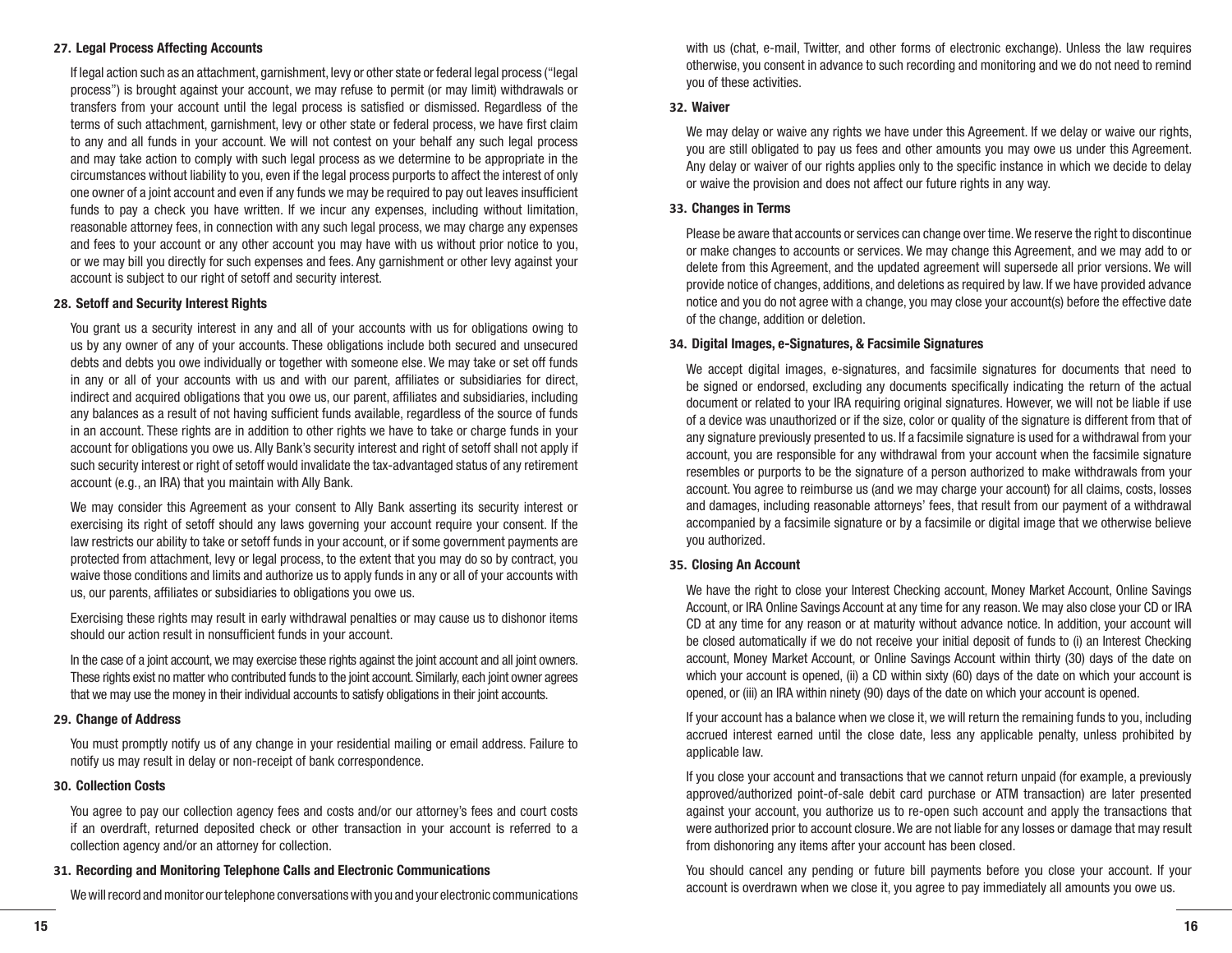#### **27. Legal Process Affecting Accounts**

If legal action such as an attachment, garnishment, levy or other state or federal legal process ("legal process") is brought against your account, we may refuse to permit (or may limit) withdrawals or transfers from your account until the legal process is satisfied or dismissed. Regardless of the terms of such attachment, garnishment, levy or other state or federal process, we have first claim to any and all funds in your account. We will not contest on your behalf any such legal process and may take action to comply with such legal process as we determine to be appropriate in the circumstances without liability to you, even if the legal process purports to affect the interest of only one owner of a joint account and even if any funds we may be required to pay out leaves insufficient funds to pay a check you have written. If we incur any expenses, including without limitation, reasonable attorney fees, in connection with any such legal process, we may charge any expenses and fees to your account or any other account you may have with us without prior notice to you, or we may bill you directly for such expenses and fees. Any garnishment or other levy against your account is subject to our right of setoff and security interest.

#### **28. Setoff and Security Interest Rights**

You grant us a security interest in any and all of your accounts with us for obligations owing to us by any owner of any of your accounts. These obligations include both secured and unsecured debts and debts you owe individually or together with someone else. We may take or set off funds in any or all of your accounts with us and with our parent, affiliates or subsidiaries for direct, indirect and acquired obligations that you owe us, our parent, affiliates and subsidiaries, including any balances as a result of not having sufficient funds available, regardless of the source of funds in an account. These rights are in addition to other rights we have to take or charge funds in your account for obligations you owe us. Ally Bank's security interest and right of setoff shall not apply if such security interest or right of setoff would invalidate the tax-advantaged status of any retirement account (e.g., an IRA) that you maintain with Ally Bank.

We may consider this Agreement as your consent to Ally Bank asserting its security interest or exercising its right of setoff should any laws governing your account require your consent. If the law restricts our ability to take or setoff funds in your account, or if some government payments are protected from attachment, levy or legal process, to the extent that you may do so by contract, you waive those conditions and limits and authorize us to apply funds in any or all of your accounts with us, our parents, affiliates or subsidiaries to obligations you owe us.

Exercising these rights may result in early withdrawal penalties or may cause us to dishonor items should our action result in nonsufficient funds in your account.

In the case of a joint account, we may exercise these rights against the joint account and all joint owners. These rights exist no matter who contributed funds to the joint account. Similarly, each joint owner agrees that we may use the money in their individual accounts to satisfy obligations in their joint accounts.

#### **29. Change of Address**

You must promptly notify us of any change in your residential mailing or email address. Failure to notify us may result in delay or non-receipt of bank correspondence.

#### **30. Collection Costs**

You agree to pay our collection agency fees and costs and/or our attorney's fees and court costs if an overdraft, returned deposited check or other transaction in your account is referred to a collection agency and/or an attorney for collection.

#### **31. Recording and Monitoring Telephone Calls and Electronic Communications**

We will record and monitor our telephone conversations with you and your electronic communications

with us (chat, e-mail, Twitter, and other forms of electronic exchange). Unless the law requires otherwise, you consent in advance to such recording and monitoring and we do not need to remind you of these activities.

#### **32. Waiver**

We may delay or waive any rights we have under this Agreement. If we delay or waive our rights, you are still obligated to pay us fees and other amounts you may owe us under this Agreement. Any delay or waiver of our rights applies only to the specific instance in which we decide to delay or waive the provision and does not affect our future rights in any way.

#### **33. Changes in Terms**

Please be aware that accounts or services can change over time. We reserve the right to discontinue or make changes to accounts or services. We may change this Agreement, and we may add to or delete from this Agreement, and the updated agreement will supersede all prior versions. We will provide notice of changes, additions, and deletions as required by law. If we have provided advance notice and you do not agree with a change, you may close your account(s) before the effective date of the change, addition or deletion.

#### **34. Digital Images, e-Signatures, & Facsimile Signatures**

We accept digital images, e-signatures, and facsimile signatures for documents that need to be signed or endorsed, excluding any documents specifically indicating the return of the actual document or related to your IRA requiring original signatures. However, we will not be liable if use of a device was unauthorized or if the size, color or quality of the signature is different from that of any signature previously presented to us. If a facsimile signature is used for a withdrawal from your account, you are responsible for any withdrawal from your account when the facsimile signature resembles or purports to be the signature of a person authorized to make withdrawals from your account. You agree to reimburse us (and we may charge your account) for all claims, costs, losses and damages, including reasonable attorneys' fees, that result from our payment of a withdrawal accompanied by a facsimile signature or by a facsimile or digital image that we otherwise believe you authorized.

#### **35. Closing An Account**

We have the right to close your Interest Checking account, Money Market Account, Online Savings Account, or IRA Online Savings Account at any time for any reason. We may also close your CD or IRA CD at any time for any reason or at maturity without advance notice. In addition, your account will be closed automatically if we do not receive your initial deposit of funds to (i) an Interest Checking account, Money Market Account, or Online Savings Account within thirty (30) days of the date on which your account is opened, (ii) a CD within sixty (60) days of the date on which your account is opened, or (iii) an IRA within ninety (90) days of the date on which your account is opened.

If your account has a balance when we close it, we will return the remaining funds to you, including accrued interest earned until the close date, less any applicable penalty, unless prohibited by applicable law.

If you close your account and transactions that we cannot return unpaid (for example, a previously approved/authorized point-of-sale debit card purchase or ATM transaction) are later presented against your account, you authorize us to re-open such account and apply the transactions that were authorized prior to account closure. We are not liable for any losses or damage that may result from dishonoring any items after your account has been closed.

You should cancel any pending or future bill payments before you close your account. If your account is overdrawn when we close it, you agree to pay immediately all amounts you owe us.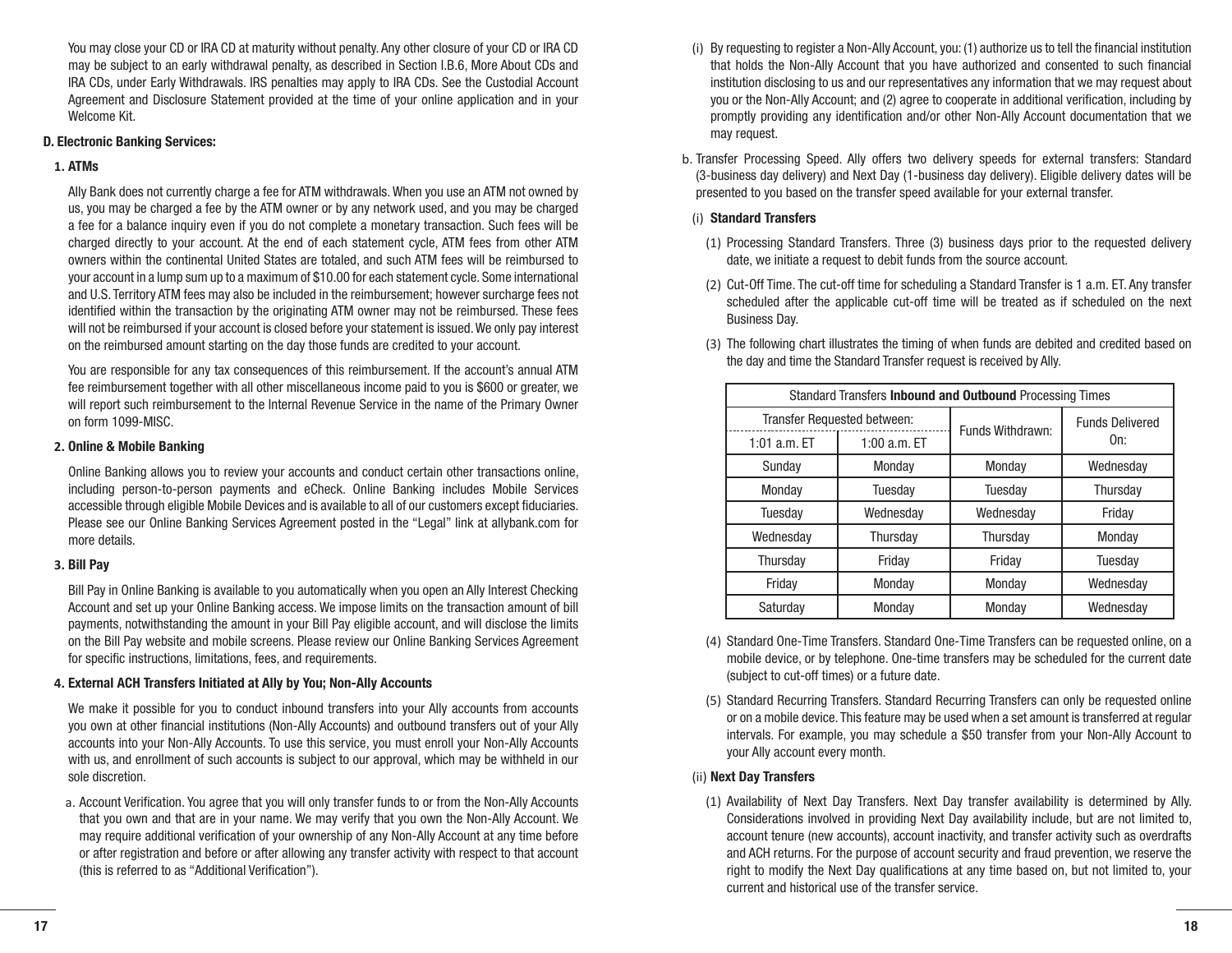You may close your CD or IRA CD at maturity without penalty. Any other closure of your CD or IRA CD may be subject to an early withdrawal penalty, as described in Section I.B.6, More About CDs and IRA CDs, under Early Withdrawals. IRS penalties may apply to IRA CDs. See the Custodial Account Agreement and Disclosure Statement provided at the time of your online application and in your Welcome Kit.

#### **D. Electronic Banking Services:**

# **1. ATMs**

Ally Bank does not currently charge a fee for ATM withdrawals. When you use an ATM not owned by us, you may be charged a fee by the ATM owner or by any network used, and you may be charged a fee for a balance inquiry even if you do not complete a monetary transaction. Such fees will be charged directly to your account. At the end of each statement cycle, ATM fees from other ATM owners within the continental United States are totaled, and such ATM fees will be reimbursed to your account in a lump sum up to a maximum of \$10.00 for each statement cycle. Some international and U.S. Territory ATM fees may also be included in the reimbursement; however surcharge fees not identified within the transaction by the originating ATM owner may not be reimbursed. These fees will not be reimbursed if your account is closed before your statement is issued. We only pay interest on the reimbursed amount starting on the day those funds are credited to your account.

You are responsible for any tax consequences of this reimbursement. If the account's annual ATM fee reimbursement together with all other miscellaneous income paid to you is \$600 or greater, we will report such reimbursement to the Internal Revenue Service in the name of the Primary Owner on form 1099-MISC.

#### **2. Online & Mobile Banking**

Online Banking allows you to review your accounts and conduct certain other transactions online, including person-to-person payments and eCheck. Online Banking includes Mobile Services accessible through eligible Mobile Devices and is available to all of our customers except fiduciaries. Please see our Online Banking Services Agreement posted in the "Legal" link at allybank.com for more details.

# **3. Bill Pay**

Bill Pay in Online Banking is available to you automatically when you open an Ally Interest Checking Account and set up your Online Banking access. We impose limits on the transaction amount of bill payments, notwithstanding the amount in your Bill Pay eligible account, and will disclose the limits on the Bill Pay website and mobile screens. Please review our Online Banking Services Agreement for specific instructions, limitations, fees, and requirements.

#### **4. External ACH Transfers Initiated at Ally by You; Non-Ally Accounts**

We make it possible for you to conduct inbound transfers into your Ally accounts from accounts you own at other financial institutions (Non-Ally Accounts) and outbound transfers out of your Ally accounts into your Non-Ally Accounts. To use this service, you must enroll your Non-Ally Accounts with us, and enrollment of such accounts is subject to our approval, which may be withheld in our sole discretion.

a. Account Verification. You agree that you will only transfer funds to or from the Non-Ally Accounts that you own and that are in your name. We may verify that you own the Non-Ally Account. We may require additional verification of your ownership of any Non-Ally Account at any time before or after registration and before or after allowing any transfer activity with respect to that account (this is referred to as "Additional Verification").

- (i) By requesting to register a Non-Ally Account, you: (1) authorize us to tell the financial institution that holds the Non-Ally Account that you have authorized and consented to such financial institution disclosing to us and our representatives any information that we may request about you or the Non-Ally Account; and (2) agree to cooperate in additional verification, including by promptly providing any identification and/or other Non-Ally Account documentation that we may request.
- b. Transfer Processing Speed. Ally offers two delivery speeds for external transfers: Standard (3-business day delivery) and Next Day (1-business day delivery). Eligible delivery dates will be presented to you based on the transfer speed available for your external transfer.

# (i) **Standard Transfers**

- (1) Processing Standard Transfers. Three (3) business days prior to the requested delivery date, we initiate a request to debit funds from the source account.
- (2) Cut-Off Time. The cut-off time for scheduling a Standard Transfer is 1 a.m. ET. Any transfer scheduled after the applicable cut-off time will be treated as if scheduled on the next Business Day.

| Standard Transfers Inbound and Outbound Processing Times |                |                  |                        |
|----------------------------------------------------------|----------------|------------------|------------------------|
| Transfer Requested between:                              |                | Funds Withdrawn: | <b>Funds Delivered</b> |
| 1:01 $a.m.$ ET                                           | 1:00 $a.m.$ ET |                  | On:                    |
| Sundav                                                   | Monday         | Monday           | Wednesdav              |
| Monday                                                   | Tuesday        | Tuesday          | Thursday               |
| Tuesday                                                  | Wednesday      | Wednesday        | Friday                 |
| Wednesday                                                | Thursday       | Thursday         | Monday                 |
| Thursday                                                 | Friday         | Friday           | Tuesday                |
| Friday                                                   | Monday         | Monday           | Wednesday              |
| Saturday                                                 | Monday         | Monday           | Wednesdav              |

(3) The following chart illustrates the timing of when funds are debited and credited based on the day and time the Standard Transfer request is received by Ally.

- (4) Standard One-Time Transfers. Standard One-Time Transfers can be requested online, on a mobile device, or by telephone. One-time transfers may be scheduled for the current date (subject to cut-off times) or a future date.
- (5) Standard Recurring Transfers. Standard Recurring Transfers can only be requested online or on a mobile device. This feature may be used when a set amount is transferred at regular intervals. For example, you may schedule a \$50 transfer from your Non-Ally Account to your Ally account every month.

# (ii) **Next Day Transfers**

(1) Availability of Next Day Transfers. Next Day transfer availability is determined by Ally. Considerations involved in providing Next Day availability include, but are not limited to, account tenure (new accounts), account inactivity, and transfer activity such as overdrafts and ACH returns. For the purpose of account security and fraud prevention, we reserve the right to modify the Next Day qualifications at any time based on, but not limited to, your current and historical use of the transfer service.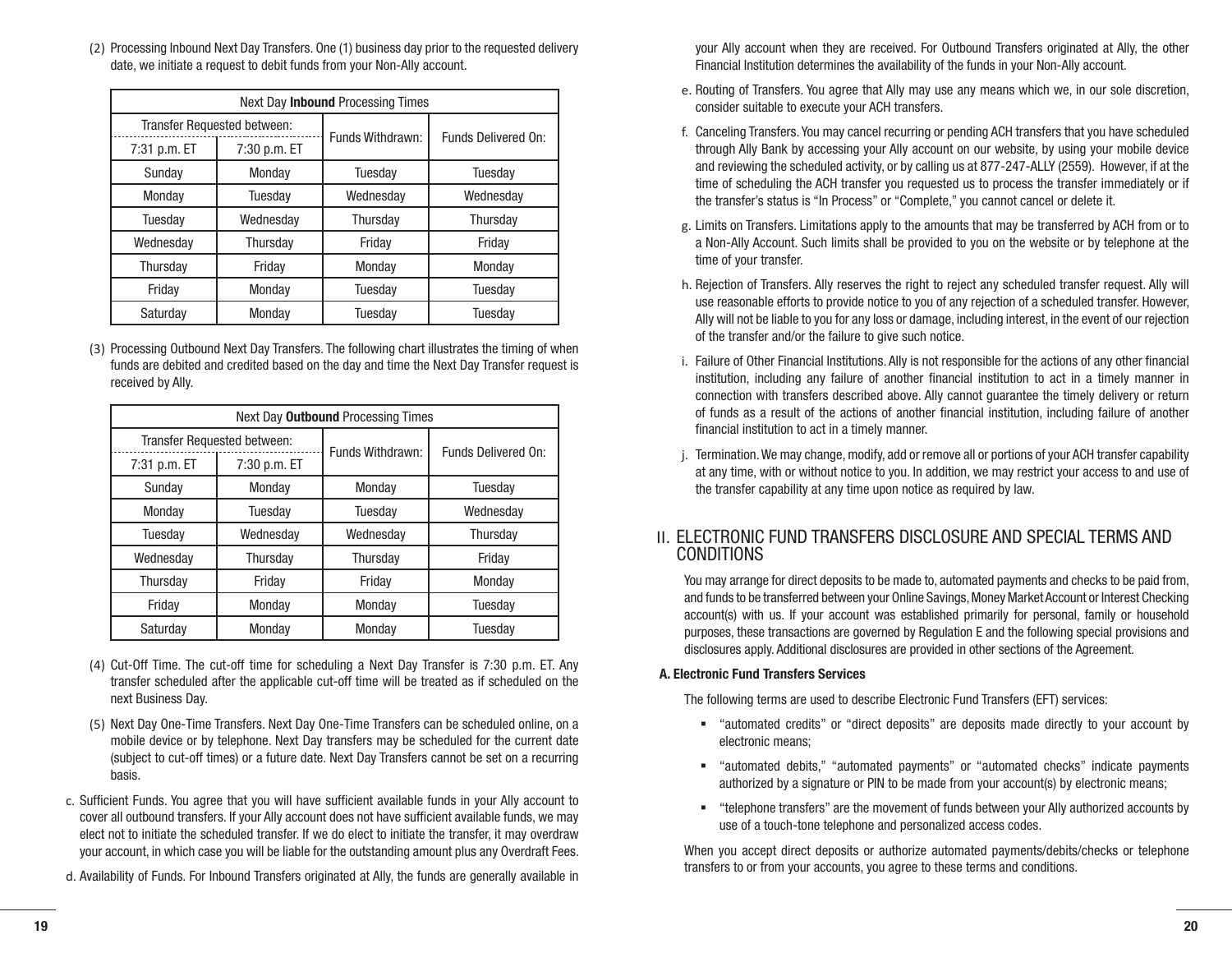(2) Processing Inbound Next Day Transfers. One (1) business day prior to the requested delivery date, we initiate a request to debit funds from your Non-Ally account.

| Next Day <b>Inbound</b> Processing Times |              |                  |                     |  |
|------------------------------------------|--------------|------------------|---------------------|--|
| Transfer Requested between:              |              | Funds Withdrawn: | Funds Delivered On: |  |
| 7:31 p.m. ET                             | 7:30 p.m. ET |                  |                     |  |
| Sundav                                   | Monday       | Tuesday          | Tuesdav             |  |
| Monday                                   | Tuesday      | Wednesday        | Wednesday           |  |
| Tuesday                                  | Wednesday    | Thursday         | Thursday            |  |
| Wednesday                                | Thursday     | Friday           | Friday              |  |
| Thursday<br>Friday                       |              | Monday           | Monday              |  |
| Friday                                   | Monday       |                  | Tuesday             |  |
| Saturday<br>Monday                       |              | Tuesdav          | Tuesdav             |  |

(3) Processing Outbound Next Day Transfers. The following chart illustrates the timing of when funds are debited and credited based on the day and time the Next Day Transfer request is received by Ally.

| Next Day <b>Outbound</b> Processing Times |              |                  |                     |  |
|-------------------------------------------|--------------|------------------|---------------------|--|
| Transfer Requested between:               |              | Funds Withdrawn: | Funds Delivered On: |  |
| 7:31 p.m. ET                              | 7:30 p.m. ET |                  |                     |  |
| Sunday                                    | Monday       | Monday           | Tuesday             |  |
| Monday                                    | Tuesday      | Tuesday          | Wednesday           |  |
| Tuesday                                   | Wednesdav    | Wednesdav        | Thursday            |  |
| Wednesday                                 | Thursday     | Thursday         | Friday              |  |
| Thursday                                  | Friday       | Friday           | Monday              |  |
| Friday                                    | Monday       | Monday           | Tuesday             |  |
| Saturday                                  | Monday       | Monday           | Tuesday             |  |

- (4) Cut-Off Time. The cut-off time for scheduling a Next Day Transfer is 7:30 p.m. ET. Any transfer scheduled after the applicable cut-off time will be treated as if scheduled on the next Business Day.
- (5) Next Day One-Time Transfers. Next Day One-Time Transfers can be scheduled online, on a mobile device or by telephone. Next Day transfers may be scheduled for the current date (subject to cut-off times) or a future date. Next Day Transfers cannot be set on a recurring basis.
- c. Sufficient Funds. You agree that you will have sufficient available funds in your Ally account to cover all outbound transfers. If your Ally account does not have sufficient available funds, we may elect not to initiate the scheduled transfer. If we do elect to initiate the transfer, it may overdraw your account, in which case you will be liable for the outstanding amount plus any Overdraft Fees.
- d. Availability of Funds. For Inbound Transfers originated at Ally, the funds are generally available in

your Ally account when they are received. For Outbound Transfers originated at Ally, the other Financial Institution determines the availability of the funds in your Non-Ally account.

- e. Routing of Transfers. You agree that Ally may use any means which we, in our sole discretion, consider suitable to execute your ACH transfers.
- f. Canceling Transfers. You may cancel recurring or pending ACH transfers that you have scheduled through Ally Bank by accessing your Ally account on our website, by using your mobile device and reviewing the scheduled activity, or by calling us at 877-247-ALLY (2559). However, if at the time of scheduling the ACH transfer you requested us to process the transfer immediately or if the transfer's status is "In Process" or "Complete," you cannot cancel or delete it.
- g. Limits on Transfers. Limitations apply to the amounts that may be transferred by ACH from or to a Non-Ally Account. Such limits shall be provided to you on the website or by telephone at the time of your transfer.
- h. Rejection of Transfers. Ally reserves the right to reject any scheduled transfer request. Ally will use reasonable efforts to provide notice to you of any rejection of a scheduled transfer. However, Ally will not be liable to you for any loss or damage, including interest, in the event of our rejection of the transfer and/or the failure to give such notice.
- i. Failure of Other Financial Institutions. Ally is not responsible for the actions of any other financial institution, including any failure of another financial institution to act in a timely manner in connection with transfers described above. Ally cannot guarantee the timely delivery or return of funds as a result of the actions of another financial institution, including failure of another financial institution to act in a timely manner.
- j. Termination. We may change, modify, add or remove all or portions of your ACH transfer capability at any time, with or without notice to you. In addition, we may restrict your access to and use of the transfer capability at any time upon notice as required by law.

# II. ELECTRONIC FUND TRANSFERS DISCLOSURE AND SPECIAL TERMS AND CONDITIONS

You may arrange for direct deposits to be made to, automated payments and checks to be paid from, and funds to be transferred between your Online Savings, Money Market Account or Interest Checking account(s) with us. If your account was established primarily for personal, family or household purposes, these transactions are governed by Regulation E and the following special provisions and disclosures apply. Additional disclosures are provided in other sections of the Agreement.

# **A. Electronic Fund Transfers Services**

The following terms are used to describe Electronic Fund Transfers (EFT) services:

- § "automated credits" or "direct deposits" are deposits made directly to your account by electronic means;
- "automated debits," "automated payments" or "automated checks" indicate payments authorized by a signature or PIN to be made from your account(s) by electronic means;
- "telephone transfers" are the movement of funds between your Ally authorized accounts by use of a touch-tone telephone and personalized access codes.

When you accept direct deposits or authorize automated payments/debits/checks or telephone transfers to or from your accounts, you agree to these terms and conditions.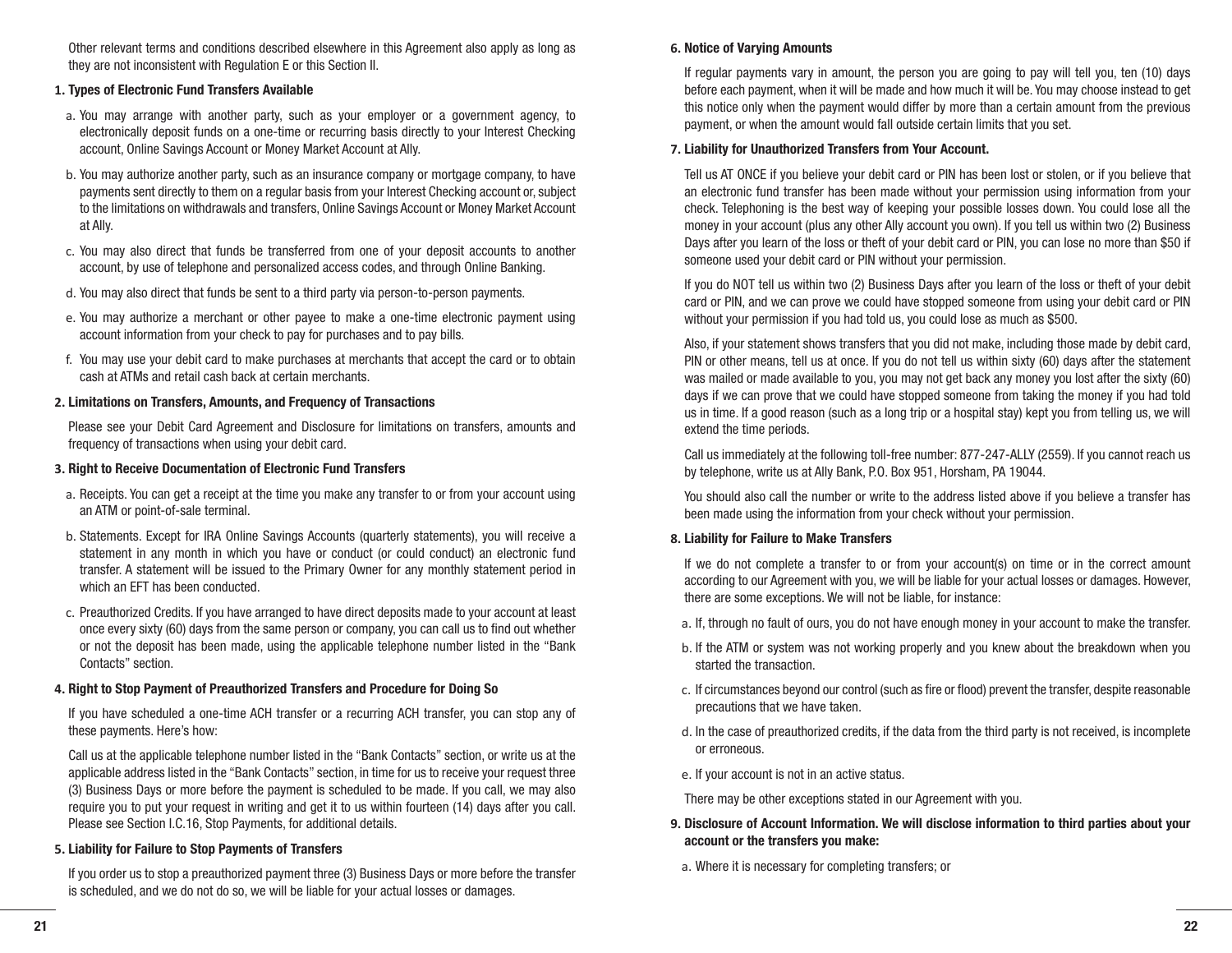Other relevant terms and conditions described elsewhere in this Agreement also apply as long as they are not inconsistent with Regulation E or this Section II.

#### **1. Types of Electronic Fund Transfers Available**

- a. You may arrange with another party, such as your employer or a government agency, to electronically deposit funds on a one-time or recurring basis directly to your Interest Checking account, Online Savings Account or Money Market Account at Ally.
- b. You may authorize another party, such as an insurance company or mortgage company, to have payments sent directly to them on a regular basis from your Interest Checking account or, subject to the limitations on withdrawals and transfers, Online Savings Account or Money Market Account at Ally.
- c. You may also direct that funds be transferred from one of your deposit accounts to another account, by use of telephone and personalized access codes, and through Online Banking.
- d. You may also direct that funds be sent to a third party via person-to-person payments.
- e. You may authorize a merchant or other payee to make a one-time electronic payment using account information from your check to pay for purchases and to pay bills.
- f. You may use your debit card to make purchases at merchants that accept the card or to obtain cash at ATMs and retail cash back at certain merchants.

#### **2. Limitations on Transfers, Amounts, and Frequency of Transactions**

Please see your Debit Card Agreement and Disclosure for limitations on transfers, amounts and frequency of transactions when using your debit card.

#### **3. Right to Receive Documentation of Electronic Fund Transfers**

- a. Receipts. You can get a receipt at the time you make any transfer to or from your account using an ATM or point-of-sale terminal.
- b. Statements. Except for IRA Online Savings Accounts (quarterly statements), you will receive a statement in any month in which you have or conduct (or could conduct) an electronic fund transfer. A statement will be issued to the Primary Owner for any monthly statement period in which an EFT has been conducted.
- c. Preauthorized Credits. If you have arranged to have direct deposits made to your account at least once every sixty (60) days from the same person or company, you can call us to find out whether or not the deposit has been made, using the applicable telephone number listed in the "Bank Contacts" section.

#### **4. Right to Stop Payment of Preauthorized Transfers and Procedure for Doing So**

If you have scheduled a one-time ACH transfer or a recurring ACH transfer, you can stop any of these payments. Here's how:

Call us at the applicable telephone number listed in the "Bank Contacts" section, or write us at the applicable address listed in the "Bank Contacts" section, in time for us to receive your request three (3) Business Days or more before the payment is scheduled to be made. If you call, we may also require you to put your request in writing and get it to us within fourteen (14) days after you call. Please see Section I.C.16, Stop Payments, for additional details.

#### **5. Liability for Failure to Stop Payments of Transfers**

If you order us to stop a preauthorized payment three (3) Business Days or more before the transfer is scheduled, and we do not do so, we will be liable for your actual losses or damages.

#### **6. Notice of Varying Amounts**

If regular payments vary in amount, the person you are going to pay will tell you, ten (10) days before each payment, when it will be made and how much it will be. You may choose instead to get this notice only when the payment would differ by more than a certain amount from the previous payment, or when the amount would fall outside certain limits that you set.

#### **7. Liability for Unauthorized Transfers from Your Account.**

Tell us AT ONCE if you believe your debit card or PIN has been lost or stolen, or if you believe that an electronic fund transfer has been made without your permission using information from your check. Telephoning is the best way of keeping your possible losses down. You could lose all the money in your account (plus any other Ally account you own). If you tell us within two (2) Business Days after you learn of the loss or theft of your debit card or PIN, you can lose no more than \$50 if someone used your debit card or PIN without your permission.

If you do NOT tell us within two (2) Business Days after you learn of the loss or theft of your debit card or PIN, and we can prove we could have stopped someone from using your debit card or PIN without your permission if you had told us, you could lose as much as \$500.

Also, if your statement shows transfers that you did not make, including those made by debit card, PIN or other means, tell us at once. If you do not tell us within sixty (60) days after the statement was mailed or made available to you, you may not get back any money you lost after the sixty (60) days if we can prove that we could have stopped someone from taking the money if you had told us in time. If a good reason (such as a long trip or a hospital stay) kept you from telling us, we will extend the time periods.

Call us immediately at the following toll-free number: 877-247-ALLY (2559). If you cannot reach us by telephone, write us at Ally Bank, P.O. Box 951, Horsham, PA 19044.

You should also call the number or write to the address listed above if you believe a transfer has been made using the information from your check without your permission.

#### **8. Liability for Failure to Make Transfers**

If we do not complete a transfer to or from your account(s) on time or in the correct amount according to our Agreement with you, we will be liable for your actual losses or damages. However, there are some exceptions. We will not be liable, for instance:

- a. If, through no fault of ours, you do not have enough money in your account to make the transfer.
- b. If the ATM or system was not working properly and you knew about the breakdown when you started the transaction.
- c. If circumstances beyond our control (such as fire or flood) prevent the transfer, despite reasonable precautions that we have taken.
- d. In the case of preauthorized credits, if the data from the third party is not received, is incomplete or erroneous.
- e. If your account is not in an active status.

There may be other exceptions stated in our Agreement with you.

- **9. Disclosure of Account Information. We will disclose information to third parties about your account or the transfers you make:**
	- a. Where it is necessary for completing transfers; or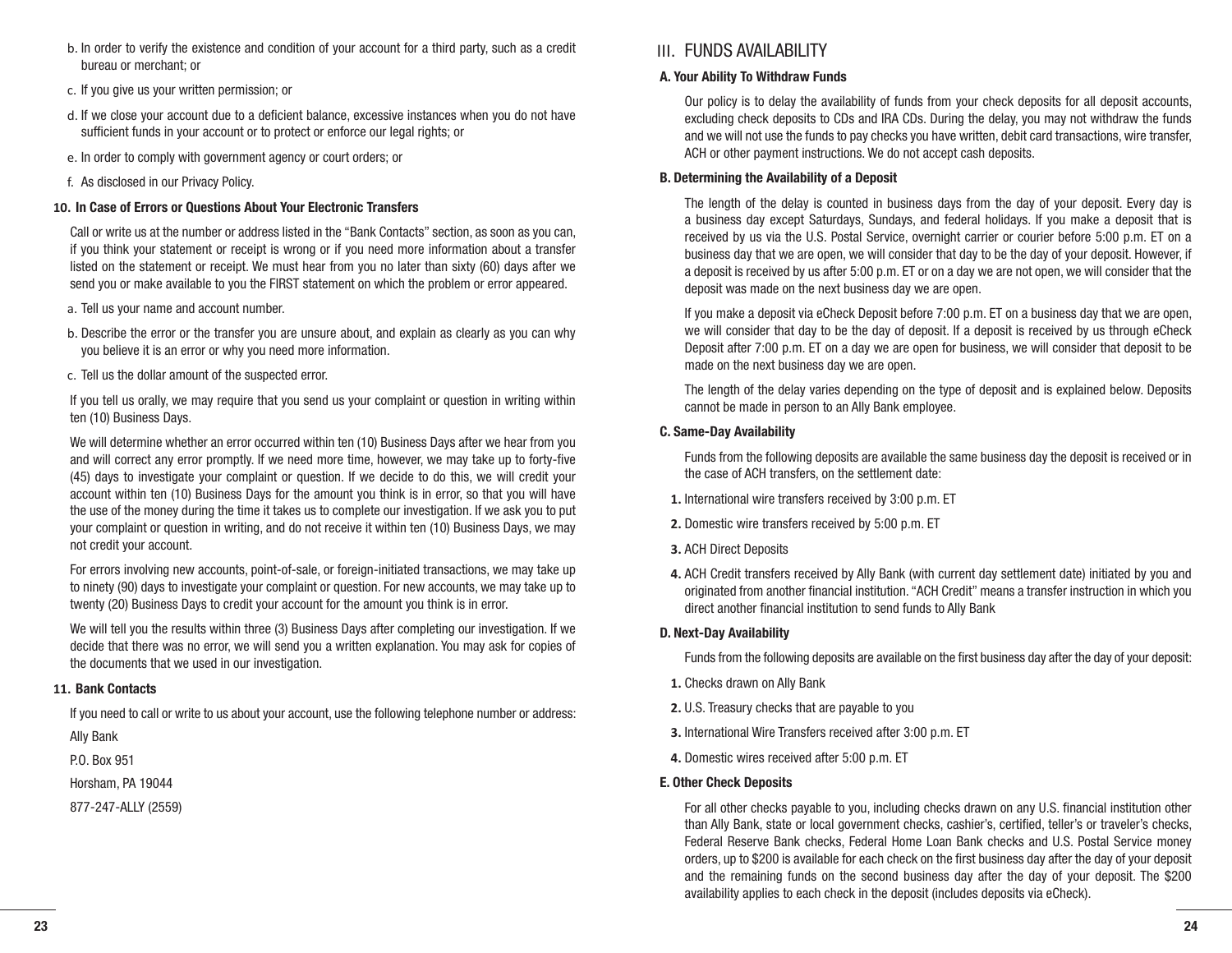- b. In order to verify the existence and condition of your account for a third party, such as a credit bureau or merchant; or
- c. If you give us your written permission; or
- d. If we close your account due to a deficient balance, excessive instances when you do not have sufficient funds in your account or to protect or enforce our legal rights; or
- e. In order to comply with government agency or court orders; or
- f. As disclosed in our Privacy Policy.

# **10. In Case of Errors or Questions About Your Electronic Transfers**

Call or write us at the number or address listed in the "Bank Contacts" section, as soon as you can, if you think your statement or receipt is wrong or if you need more information about a transfer listed on the statement or receipt. We must hear from you no later than sixty (60) days after we send you or make available to you the FIRST statement on which the problem or error appeared.

- a. Tell us your name and account number.
- b. Describe the error or the transfer you are unsure about, and explain as clearly as you can why you believe it is an error or why you need more information.
- c. Tell us the dollar amount of the suspected error.

If you tell us orally, we may require that you send us your complaint or question in writing within ten (10) Business Days.

We will determine whether an error occurred within ten (10) Business Days after we hear from you and will correct any error promptly. If we need more time, however, we may take up to forty-five (45) days to investigate your complaint or question. If we decide to do this, we will credit your account within ten (10) Business Days for the amount you think is in error, so that you will have the use of the money during the time it takes us to complete our investigation. If we ask you to put your complaint or question in writing, and do not receive it within ten (10) Business Days, we may not credit your account.

For errors involving new accounts, point-of-sale, or foreign-initiated transactions, we may take up to ninety (90) days to investigate your complaint or question. For new accounts, we may take up to twenty (20) Business Days to credit your account for the amount you think is in error.

We will tell you the results within three (3) Business Days after completing our investigation. If we decide that there was no error, we will send you a written explanation. You may ask for copies of the documents that we used in our investigation.

# **11. Bank Contacts**

If you need to call or write to us about your account, use the following telephone number or address:

Ally Bank P.O. Box 951

Horsham, PA 19044

877-247-ALLY (2559)

# III. FUNDS AVAILABILITY

# **A. Your Ability To Withdraw Funds**

Our policy is to delay the availability of funds from your check deposits for all deposit accounts, excluding check deposits to CDs and IRA CDs. During the delay, you may not withdraw the funds and we will not use the funds to pay checks you have written, debit card transactions, wire transfer, ACH or other payment instructions. We do not accept cash deposits.

## **B. Determining the Availability of a Deposit**

The length of the delay is counted in business days from the day of your deposit. Every day is a business day except Saturdays, Sundays, and federal holidays. If you make a deposit that is received by us via the U.S. Postal Service, overnight carrier or courier before 5:00 p.m. ET on a business day that we are open, we will consider that day to be the day of your deposit. However, if a deposit is received by us after 5:00 p.m. ET or on a day we are not open, we will consider that the deposit was made on the next business day we are open.

If you make a deposit via eCheck Deposit before 7:00 p.m. ET on a business day that we are open, we will consider that day to be the day of deposit. If a deposit is received by us through eCheck Deposit after 7:00 p.m. ET on a day we are open for business, we will consider that deposit to be made on the next business day we are open.

The length of the delay varies depending on the type of deposit and is explained below. Deposits cannot be made in person to an Ally Bank employee.

# **C. Same-Day Availability**

Funds from the following deposits are available the same business day the deposit is received or in the case of ACH transfers, on the settlement date:

- **1.** International wire transfers received by 3:00 p.m. ET
- **2.** Domestic wire transfers received by 5:00 p.m. ET
- **3.** ACH Direct Deposits
- **4.** ACH Credit transfers received by Ally Bank (with current day settlement date) initiated by you and originated from another financial institution. "ACH Credit" means a transfer instruction in which you direct another financial institution to send funds to Ally Bank

# **D. Next-Day Availability**

Funds from the following deposits are available on the first business day after the day of your deposit:

- **1.** Checks drawn on Ally Bank
- **2.** U.S. Treasury checks that are payable to you
- **3.** International Wire Transfers received after 3:00 p.m. ET
- **4.** Domestic wires received after 5:00 p.m. ET

# **E. Other Check Deposits**

For all other checks payable to you, including checks drawn on any U.S. financial institution other than Ally Bank, state or local government checks, cashier's, certified, teller's or traveler's checks, Federal Reserve Bank checks, Federal Home Loan Bank checks and U.S. Postal Service money orders, up to \$200 is available for each check on the first business day after the day of your deposit and the remaining funds on the second business day after the day of your deposit. The \$200 availability applies to each check in the deposit (includes deposits via eCheck).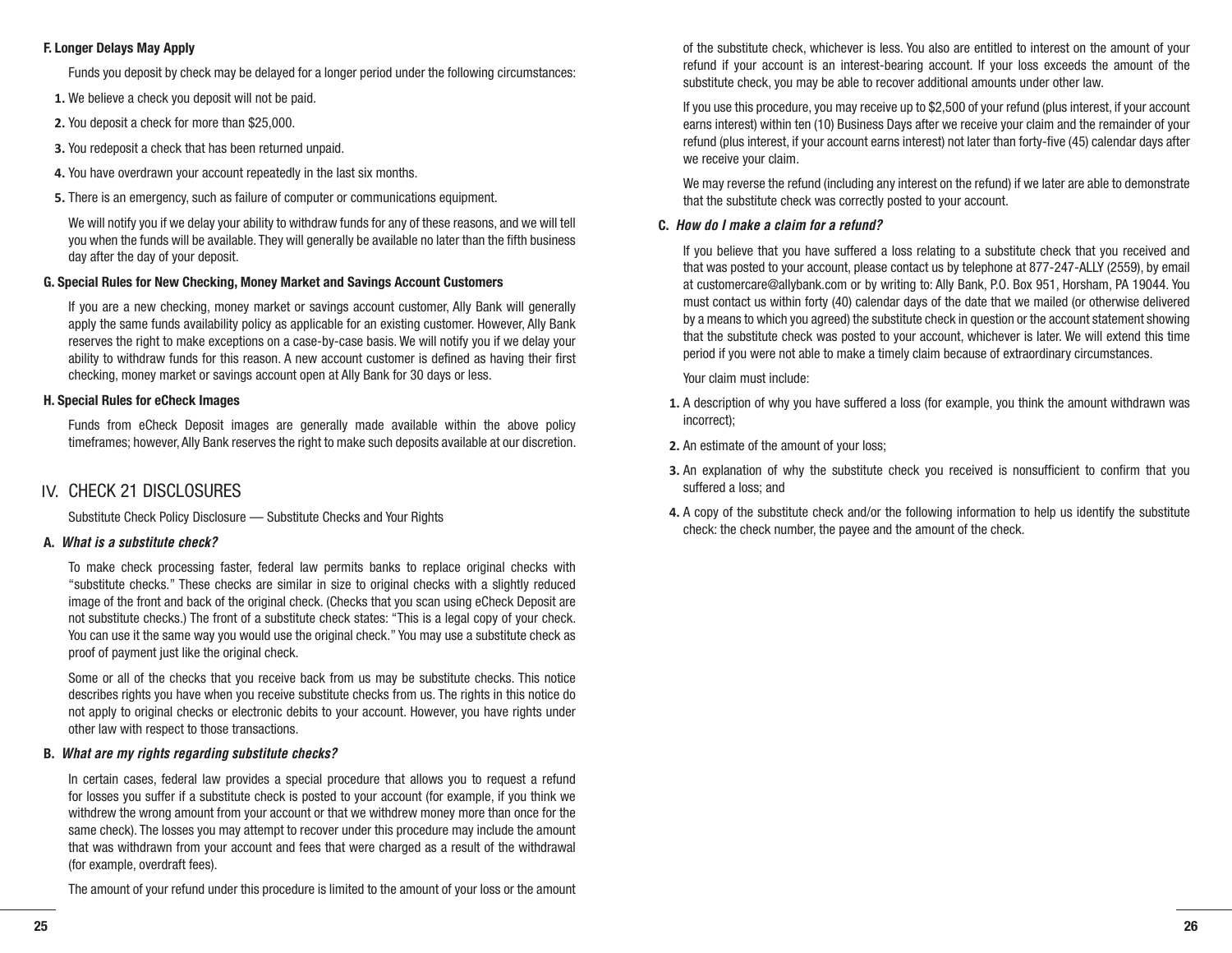#### **F. Longer Delays May Apply**

Funds you deposit by check may be delayed for a longer period under the following circumstances:

- **1.** We believe a check you deposit will not be paid.
- **2.** You deposit a check for more than \$25,000.
- **3.** You redeposit a check that has been returned unpaid.
- **4.** You have overdrawn your account repeatedly in the last six months.
- **5.** There is an emergency, such as failure of computer or communications equipment.

We will notify you if we delay your ability to withdraw funds for any of these reasons, and we will tell you when the funds will be available. They will generally be available no later than the fifth business day after the day of your deposit.

# **G. Special Rules for New Checking, Money Market and Savings Account Customers**

If you are a new checking, money market or savings account customer, Ally Bank will generally apply the same funds availability policy as applicable for an existing customer. However, Ally Bank reserves the right to make exceptions on a case-by-case basis. We will notify you if we delay your ability to withdraw funds for this reason. A new account customer is defined as having their first checking, money market or savings account open at Ally Bank for 30 days or less.

# **H. Special Rules for eCheck Images**

Funds from eCheck Deposit images are generally made available within the above policy timeframes; however, Ally Bank reserves the right to make such deposits available at our discretion.

# IV. CHECK 21 DISCLOSURES

Substitute Check Policy Disclosure — Substitute Checks and Your Rights

# **A.** *What is a substitute check?*

To make check processing faster, federal law permits banks to replace original checks with "substitute checks." These checks are similar in size to original checks with a slightly reduced image of the front and back of the original check. (Checks that you scan using eCheck Deposit are not substitute checks.) The front of a substitute check states: "This is a legal copy of your check. You can use it the same way you would use the original check." You may use a substitute check as proof of payment just like the original check.

Some or all of the checks that you receive back from us may be substitute checks. This notice describes rights you have when you receive substitute checks from us. The rights in this notice do not apply to original checks or electronic debits to your account. However, you have rights under other law with respect to those transactions.

# **B.** *What are my rights regarding substitute checks?*

In certain cases, federal law provides a special procedure that allows you to request a refund for losses you suffer if a substitute check is posted to your account (for example, if you think we withdrew the wrong amount from your account or that we withdrew money more than once for the same check). The losses you may attempt to recover under this procedure may include the amount that was withdrawn from your account and fees that were charged as a result of the withdrawal (for example, overdraft fees).

The amount of your refund under this procedure is limited to the amount of your loss or the amount

of the substitute check, whichever is less. You also are entitled to interest on the amount of your refund if your account is an interest-bearing account. If your loss exceeds the amount of the substitute check, you may be able to recover additional amounts under other law.

If you use this procedure, you may receive up to \$2,500 of your refund (plus interest, if your account earns interest) within ten (10) Business Days after we receive your claim and the remainder of your refund (plus interest, if your account earns interest) not later than forty-five (45) calendar days after we receive your claim.

We may reverse the refund (including any interest on the refund) if we later are able to demonstrate that the substitute check was correctly posted to your account.

# **C.** *How do I make a claim for a refund?*

If you believe that you have suffered a loss relating to a substitute check that you received and that was posted to your account, please contact us by telephone at 877-247-ALLY (2559), by email at customercare@allybank.com or by writing to: Ally Bank, P.O. Box 951, Horsham, PA 19044. You must contact us within forty (40) calendar days of the date that we mailed (or otherwise delivered by a means to which you agreed) the substitute check in question or the account statement showing that the substitute check was posted to your account, whichever is later. We will extend this time period if you were not able to make a timely claim because of extraordinary circumstances.

Your claim must include:

- **1.** A description of why you have suffered a loss (for example, you think the amount withdrawn was incorrect);
- **2.** An estimate of the amount of your loss;
- **3.** An explanation of why the substitute check you received is nonsufficient to confirm that you suffered a loss; and
- **4.** A copy of the substitute check and/or the following information to help us identify the substitute check: the check number, the payee and the amount of the check.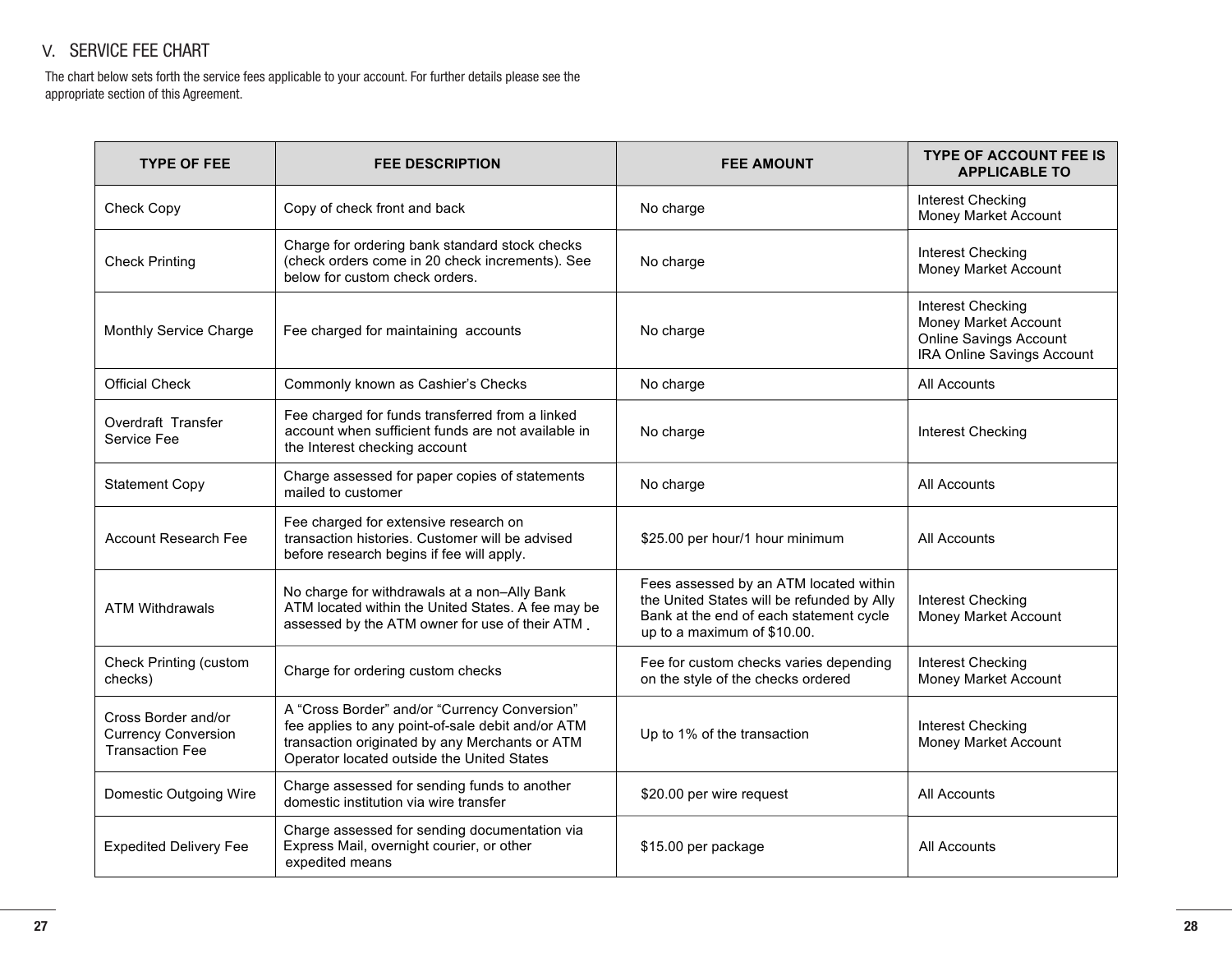# V. SERVICE FEE CHART

The chart below sets forth the service fees applicable to your account. For further details please see the appropriate section of this Agreement.

| <b>TYPE OF FEE</b>                                                          | <b>FEE DESCRIPTION</b>                                                                                                                                                                             | <b>FEE AMOUNT</b>                                                                                                                                              | <b>TYPE OF ACCOUNT FEE IS</b><br><b>APPLICABLE TO</b>                                                    |
|-----------------------------------------------------------------------------|----------------------------------------------------------------------------------------------------------------------------------------------------------------------------------------------------|----------------------------------------------------------------------------------------------------------------------------------------------------------------|----------------------------------------------------------------------------------------------------------|
| Check Copy                                                                  | Copy of check front and back                                                                                                                                                                       | No charge                                                                                                                                                      | Interest Checking<br>Money Market Account                                                                |
| <b>Check Printing</b>                                                       | Charge for ordering bank standard stock checks<br>(check orders come in 20 check increments). See<br>below for custom check orders.                                                                | No charge                                                                                                                                                      | <b>Interest Checking</b><br>Money Market Account                                                         |
| Monthly Service Charge                                                      | Fee charged for maintaining accounts                                                                                                                                                               | No charge                                                                                                                                                      | <b>Interest Checking</b><br>Money Market Account<br>Online Savings Account<br>IRA Online Savings Account |
| <b>Official Check</b>                                                       | Commonly known as Cashier's Checks                                                                                                                                                                 | No charge                                                                                                                                                      | All Accounts                                                                                             |
| Overdraft Transfer<br>Service Fee                                           | Fee charged for funds transferred from a linked<br>account when sufficient funds are not available in<br>the Interest checking account                                                             | No charge                                                                                                                                                      | <b>Interest Checking</b>                                                                                 |
| <b>Statement Copy</b>                                                       | Charge assessed for paper copies of statements<br>mailed to customer                                                                                                                               | No charge                                                                                                                                                      | All Accounts                                                                                             |
| <b>Account Research Fee</b>                                                 | Fee charged for extensive research on<br>transaction histories. Customer will be advised<br>before research begins if fee will apply.                                                              | \$25.00 per hour/1 hour minimum                                                                                                                                | All Accounts                                                                                             |
| <b>ATM Withdrawals</b>                                                      | No charge for withdrawals at a non-Ally Bank<br>ATM located within the United States. A fee may be<br>assessed by the ATM owner for use of their ATM.                                              | Fees assessed by an ATM located within<br>the United States will be refunded by Ally<br>Bank at the end of each statement cycle<br>up to a maximum of \$10.00. | <b>Interest Checking</b><br>Money Market Account                                                         |
| <b>Check Printing (custom</b><br>checks)                                    | Charge for ordering custom checks                                                                                                                                                                  | Fee for custom checks varies depending<br>on the style of the checks ordered                                                                                   | <b>Interest Checking</b><br>Money Market Account                                                         |
| Cross Border and/or<br><b>Currency Conversion</b><br><b>Transaction Fee</b> | A "Cross Border" and/or "Currency Conversion"<br>fee applies to any point-of-sale debit and/or ATM<br>transaction originated by any Merchants or ATM<br>Operator located outside the United States | Up to 1% of the transaction                                                                                                                                    | <b>Interest Checking</b><br>Money Market Account                                                         |
| Domestic Outgoing Wire                                                      | Charge assessed for sending funds to another<br>domestic institution via wire transfer                                                                                                             | \$20.00 per wire request                                                                                                                                       | All Accounts                                                                                             |
| <b>Expedited Delivery Fee</b>                                               | Charge assessed for sending documentation via<br>Express Mail, overnight courier, or other<br>expedited means                                                                                      | \$15.00 per package                                                                                                                                            | All Accounts                                                                                             |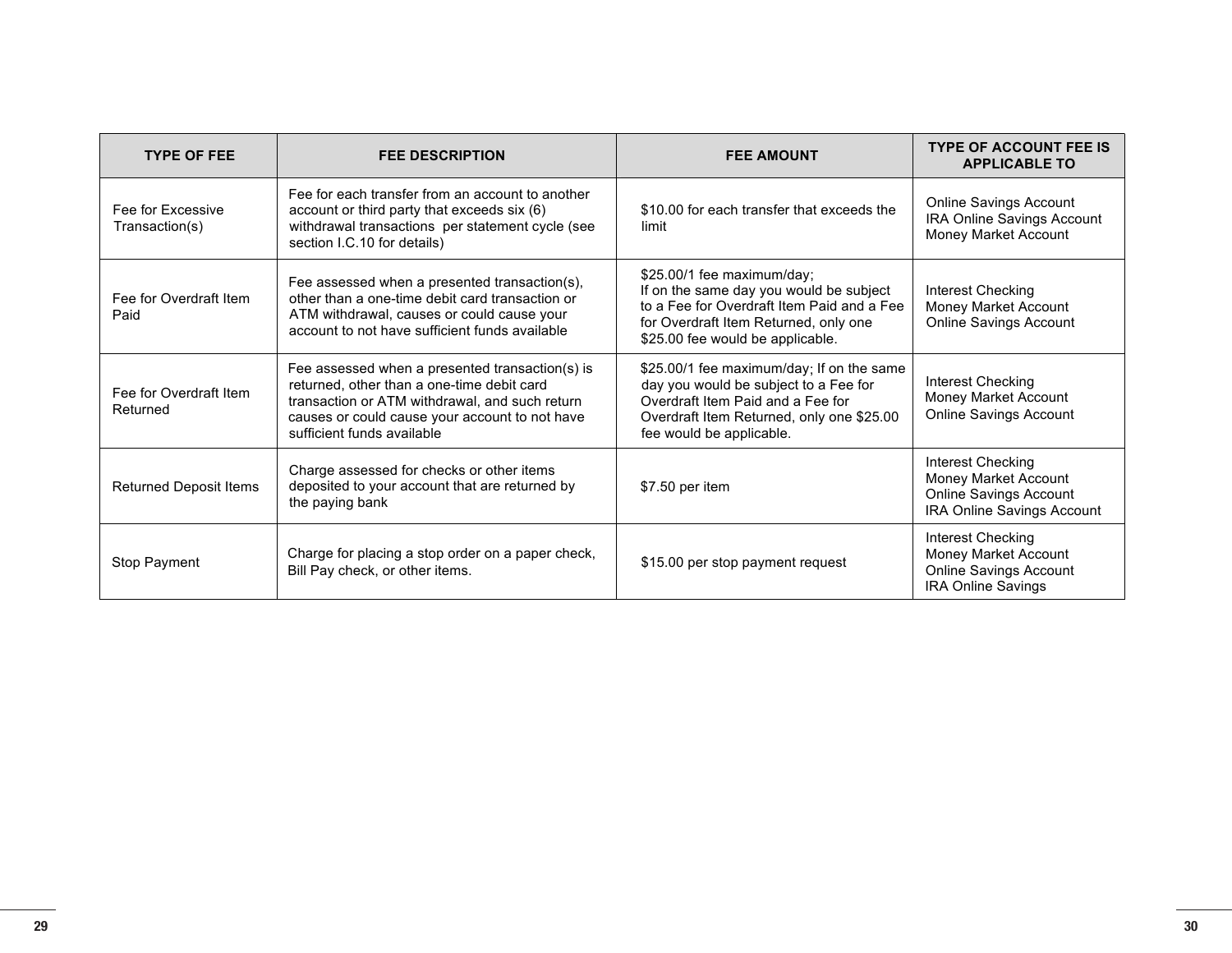| <b>TYPE OF FEE</b>                  | <b>FEE DESCRIPTION</b>                                                                                                                                                                                                          | <b>FEE AMOUNT</b>                                                                                                                                                                                | <b>TYPE OF ACCOUNT FEE IS</b><br><b>APPLICABLE TO</b>                                            |
|-------------------------------------|---------------------------------------------------------------------------------------------------------------------------------------------------------------------------------------------------------------------------------|--------------------------------------------------------------------------------------------------------------------------------------------------------------------------------------------------|--------------------------------------------------------------------------------------------------|
| Fee for Excessive<br>Transaction(s) | Fee for each transfer from an account to another<br>account or third party that exceeds six (6)<br>withdrawal transactions per statement cycle (see<br>section I.C.10 for details)                                              | \$10.00 for each transfer that exceeds the<br>limit                                                                                                                                              | <b>Online Savings Account</b><br>IRA Online Savings Account<br>Money Market Account              |
| Fee for Overdraft Item<br>Paid      | Fee assessed when a presented transaction(s),<br>other than a one-time debit card transaction or<br>ATM withdrawal, causes or could cause your<br>account to not have sufficient funds available                                | \$25.00/1 fee maximum/day;<br>If on the same day you would be subject<br>to a Fee for Overdraft Item Paid and a Fee<br>for Overdraft Item Returned, only one<br>\$25.00 fee would be applicable. | Interest Checking<br>Money Market Account<br><b>Online Savings Account</b>                       |
| Fee for Overdraft Item<br>Returned  | Fee assessed when a presented transaction(s) is<br>returned, other than a one-time debit card<br>transaction or ATM withdrawal, and such return<br>causes or could cause your account to not have<br>sufficient funds available | \$25.00/1 fee maximum/day; If on the same<br>day you would be subject to a Fee for<br>Overdraft Item Paid and a Fee for<br>Overdraft Item Returned, only one \$25.00<br>fee would be applicable. | Interest Checking<br>Money Market Account<br><b>Online Savings Account</b>                       |
| <b>Returned Deposit Items</b>       | Charge assessed for checks or other items<br>deposited to your account that are returned by<br>the paying bank                                                                                                                  | \$7.50 per item                                                                                                                                                                                  |                                                                                                  |
| Stop Payment                        | Charge for placing a stop order on a paper check,<br>Bill Pay check, or other items.                                                                                                                                            | \$15.00 per stop payment request                                                                                                                                                                 | Interest Checking<br>Money Market Account<br><b>Online Savings Account</b><br>IRA Online Savings |